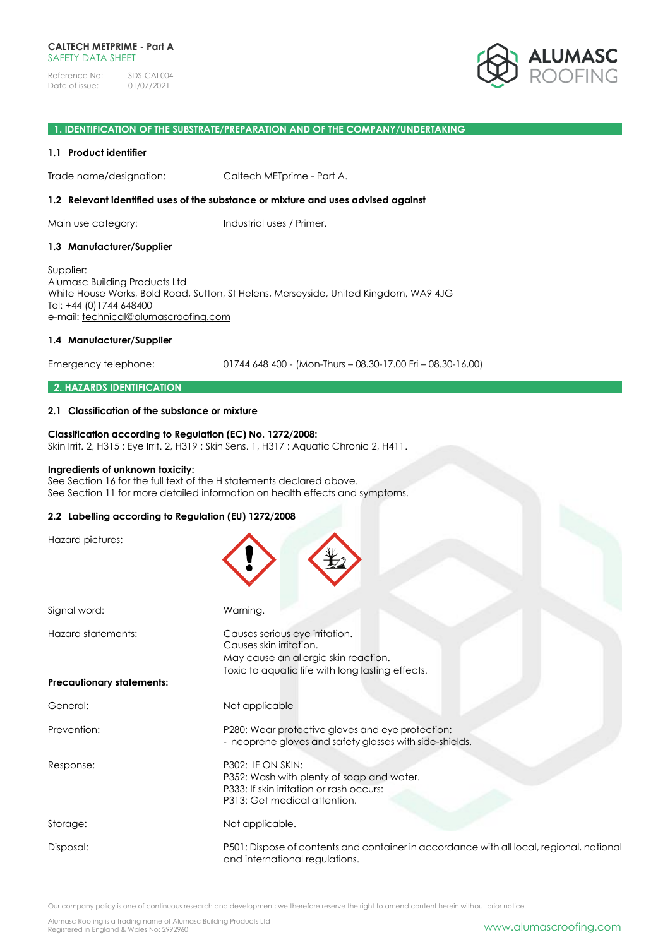#### **1. IDENTIFICATION OF THE SUBSTRATE/PREPARATION AND OF THE COMPANY/UNDERTAKING**

#### **1.1 Product identifier**

Trade name/designation: Caltech METprime - Part A.

#### **1.2 Relevant identified uses of the substance or mixture and uses advised against**

Main use category: Industrial uses / Primer.

## **1.3 Manufacturer/Supplier**

Supplier: Alumasc Building Products Ltd White House Works, Bold Road, Sutton, St Helens, Merseyside, United Kingdom, WA9 4JG Tel: +44 (0)1744 648400 e-mail: [technical@alumascroofing.com](mailto:technical@alumascroofing.com)

## **1.4 Manufacturer/Supplier**

Emergency telephone: 01744 648 400 - (Mon-Thurs – 08.30-17.00 Fri – 08.30-16.00)

## **2. HAZARDS IDENTIFICATION**

## **2.1 Classification of the substance or mixture**

## **Classification according to Regulation (EC) No. 1272/2008:** Skin Irrit. 2, H315 : Eye Irrit. 2, H319 : Skin Sens. 1, H317 : Aquatic Chronic 2, H411.

# **Ingredients of unknown toxicity:**

See Section 16 for the full text of the H statements declared above. See Section 11 for more detailed information on health effects and symptoms.

# **2.2 Labelling according to Regulation (EU) 1272/2008**

| Signal word:                     | Warning.                                                                                                                                              |
|----------------------------------|-------------------------------------------------------------------------------------------------------------------------------------------------------|
| Hazard statements:               | Causes serious eye irritation.<br>Causes skin irritation.<br>May cause an allergic skin reaction.<br>Toxic to aquatic life with long lasting effects. |
| <b>Precautionary statements:</b> |                                                                                                                                                       |
| General:                         | Not applicable                                                                                                                                        |
| Prevention:                      | P280: Wear protective gloves and eye protection:<br>- neoprene gloves and safety glasses with side-shields.                                           |
| Response:                        | P302: IF ON SKIN:<br>P352: Wash with plenty of soap and water.<br>P333: If skin irritation or rash occurs:<br>P313: Get medical attention.            |
| Storage:                         | Not applicable.                                                                                                                                       |
| Disposal:                        | P501: Dispose of contents and container in accordance with all local, regional, national<br>and international regulations.                            |

Our company policy is one of continuous research and development; we therefore reserve the right to amend content herein without prior notice.

Alumasc Roofing is a trading name of Alumasc Building Products Ltd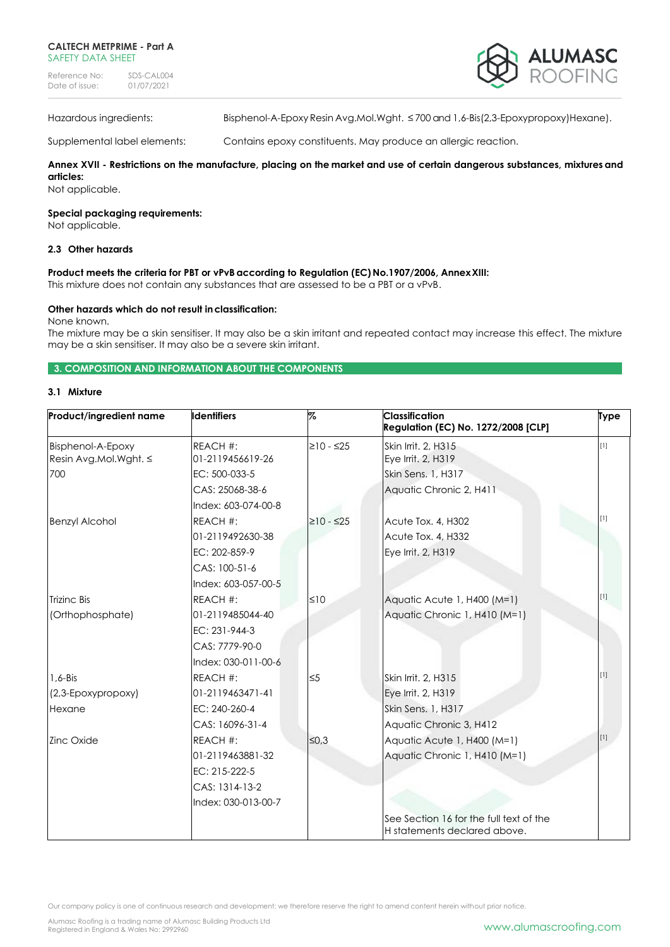Reference No: SDS-CAL004<br>Date of issue: 01/07/2021 Date of issue:



Hazardous ingredients: Bisphenol-A-Epoxy Resin Avg.Mol.Wght. ≤ 700 and 1,6-Bis(2,3-Epoxypropoxy)Hexane).

Supplemental label elements: Contains epoxy constituents. May produce an allergic reaction.

# **Annex XVII - Restrictions on the manufacture, placing on the market and use of certain dangerous substances, mixtures and articles:**

# Not applicable.

# **Special packaging requirements:**

Not applicable.

# **2.3 Other hazards**

## **Product meets the criteria for PBT or vPvB according to Regulation (EC) No.1907/2006, AnnexXIII:** This mixture does not contain any substances that are assessed to be a PBT or a vPvB.

# **Other hazards which do not result inclassification:**

None known.

The mixture may be a skin sensitiser. It may also be a skin irritant and repeated contact may increase this effect. The mixture may be a skin sensitiser. It may also be a severe skin irritant.

# **3. COMPOSITION AND INFORMATION ABOUT THE COMPONENTS**

# **3.1 Mixture**

| Product/ingredient name                    | <b>Identifiers</b>           | $\%$        | <b>Classification</b><br><b>Regulation (EC) No. 1272/2008 [CLP]</b>     | <b>Type</b> |
|--------------------------------------------|------------------------------|-------------|-------------------------------------------------------------------------|-------------|
| Bisphenol-A-Epoxy<br>Resin Avg.Mol.Wght. ≤ | REACH #:<br>01-2119456619-26 | $≥10 - ≤25$ | Skin Irrit, 2, H315<br>Eye Irrit. 2, H319                               | $[1]$       |
| 700                                        | EC: 500-033-5                |             | Skin Sens. 1, H317                                                      |             |
|                                            | CAS: 25068-38-6              |             | Aquatic Chronic 2, H411                                                 |             |
|                                            | Index: 603-074-00-8          |             |                                                                         |             |
| <b>Benzyl Alcohol</b>                      | REACH #:                     | $≥10 - 525$ | Acute Tox. 4, H302                                                      | $[1]$       |
|                                            | 01-2119492630-38             |             | Acute Tox. 4, H332                                                      |             |
|                                            | EC: 202-859-9                |             | Eye Irrit. 2, H319                                                      |             |
|                                            | CAS: 100-51-6                |             |                                                                         |             |
|                                            | Index: 603-057-00-5          |             |                                                                         |             |
| <b>Trizinc Bis</b>                         | REACH #:                     | ≤10         | Aquatic Acute 1, H400 (M=1)                                             | $[1]$       |
| (Orthophosphate)                           | 01-2119485044-40             |             | Aquatic Chronic 1, H410 (M=1)                                           |             |
|                                            | EC: 231-944-3                |             |                                                                         |             |
|                                            | CAS: 7779-90-0               |             |                                                                         |             |
|                                            | Index: 030-011-00-6          |             |                                                                         |             |
| $1,6 - Bis$                                | REACH #:                     | $\leq 5$    | Skin Irrit. 2, H315                                                     | $[1]$       |
| (2,3-Epoxypropoxy)                         | 01-2119463471-41             |             | Eye Irrit. 2, H319                                                      |             |
| Hexane                                     | EC: 240-260-4                |             | Skin Sens. 1, H317                                                      |             |
|                                            | CAS: 16096-31-4              |             | Aquatic Chronic 3, H412                                                 |             |
| <b>Zinc Oxide</b>                          | REACH #:                     | $\leq 0,3$  | Aquatic Acute 1, H400 (M=1)                                             |             |
|                                            | 01-2119463881-32             |             | Aquatic Chronic 1, H410 (M=1)                                           |             |
|                                            | EC: 215-222-5                |             |                                                                         |             |
|                                            | CAS: 1314-13-2               |             |                                                                         |             |
|                                            | Index: 030-013-00-7          |             |                                                                         |             |
|                                            |                              |             | See Section 16 for the full text of the<br>H statements declared above. |             |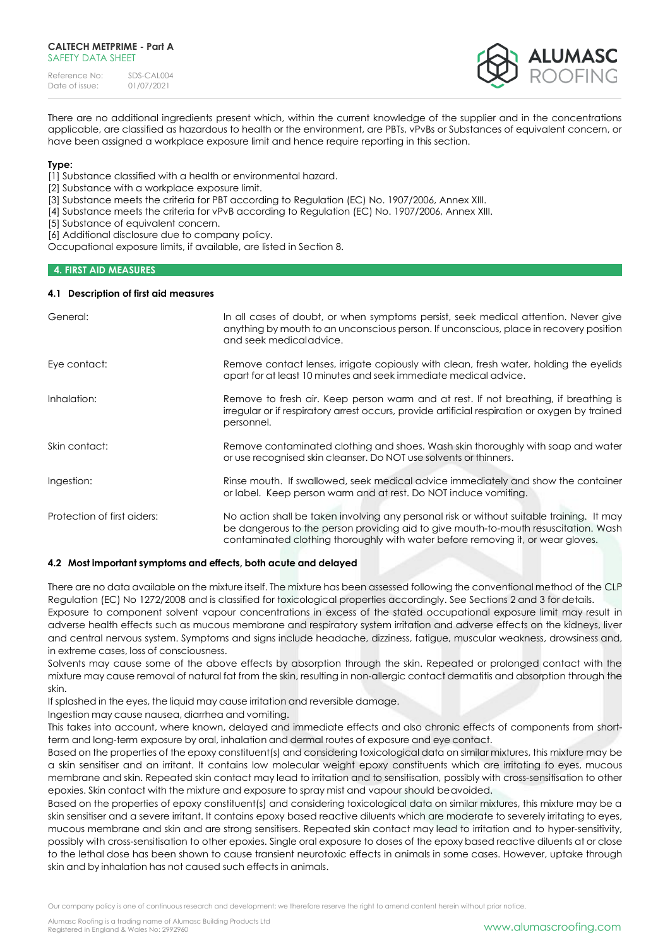Reference No: SDS-CAL004<br>Date of issue: 01/07/2021 Date of issue:



There are no additional ingredients present which, within the current knowledge of the supplier and in the concentrations applicable, are classified as hazardous to health or the environment, are PBTs, vPvBs or Substances of equivalent concern, or have been assigned a workplace exposure limit and hence require reporting in this section.

# **Type:**

[1] Substance classified with a health or environmental hazard.

[2] Substance with a workplace exposure limit.

[3] Substance meets the criteria for PBT according to Regulation (EC) No. 1907/2006, Annex XIII.

[4] Substance meets the criteria for vPvB according to Regulation (EC) No. 1907/2006, Annex XIII.

[5] Substance of equivalent concern.

[6] Additional disclosure due to company policy.

Occupational exposure limits, if available, are listed in Section 8.

# **4. FIRST AID MEASURES**

# **4.1 Description of first aid measures**

| General:                    | In all cases of doubt, or when symptoms persist, seek medical attention. Never give<br>anything by mouth to an unconscious person. If unconscious, place in recovery position<br>and seek medical advice.                                                           |
|-----------------------------|---------------------------------------------------------------------------------------------------------------------------------------------------------------------------------------------------------------------------------------------------------------------|
| Eye contact:                | Remove contact lenses, irrigate copiously with clean, fresh water, holding the eyelids<br>apart for at least 10 minutes and seek immediate medical advice.                                                                                                          |
| Inhalation:                 | Remove to fresh air. Keep person warm and at rest. If not breathing, if breathing is<br>irregular or if respiratory arrest occurs, provide artificial respiration or oxygen by trained<br>personnel.                                                                |
| Skin contact:               | Remove contaminated clothing and shoes. Wash skin thoroughly with soap and water<br>or use recognised skin cleanser. Do NOT use solvents or thinners.                                                                                                               |
| Ingestion:                  | Rinse mouth. If swallowed, seek medical advice immediately and show the container<br>or label. Keep person warm and at rest. Do NOT induce vomiting.                                                                                                                |
| Protection of first aiders: | No action shall be taken involving any personal risk or without suitable training. It may<br>be dangerous to the person providing aid to give mouth-to-mouth resuscitation. Wash<br>contaminated clothing thoroughly with water before removing it, or wear gloves. |

# **4.2 Most important symptoms and effects, both acute and delayed**

There are no data available on the mixture itself. The mixture has been assessed following the conventional method of the CLP Regulation (EC) No 1272/2008 and is classified for toxicological properties accordingly. See Sections 2 and 3 for details. Exposure to component solvent vapour concentrations in excess of the stated occupational exposure limit may result in adverse health effects such as mucous membrane and respiratory system irritation and adverse effects on the kidneys, liver and central nervous system. Symptoms and signs include headache, dizziness, fatigue, muscular weakness, drowsiness and, in extreme cases, loss of consciousness.

Solvents may cause some of the above effects by absorption through the skin. Repeated or prolonged contact with the mixture may cause removal of natural fat from the skin, resulting in non-allergic contact dermatitis and absorption through the skin.

If splashed in the eyes, the liquid may cause irritation and reversible damage.

Ingestion may cause nausea, diarrhea and vomiting.

This takes into account, where known, delayed and immediate effects and also chronic effects of components from shortterm and long-term exposure by oral, inhalation and dermal routes of exposure and eye contact.

Based on the properties of the epoxy constituent(s) and considering toxicological data on similar mixtures, this mixture may be a skin sensitiser and an irritant. It contains low molecular weight epoxy constituents which are irritating to eyes, mucous membrane and skin. Repeated skin contact may lead to irritation and to sensitisation, possibly with cross-sensitisation to other epoxies. Skin contact with the mixture and exposure to spray mist and vapour should beavoided.

Based on the properties of epoxy constituent(s) and considering toxicological data on similar mixtures, this mixture may be a skin sensitiser and a severe irritant. It contains epoxy based reactive diluents which are moderate to severely irritating to eyes, mucous membrane and skin and are strong sensitisers. Repeated skin contact may lead to irritation and to hyper-sensitivity, possibly with cross-sensitisation to other epoxies. Single oral exposure to doses of the epoxy based reactive diluents at or close to the lethal dose has been shown to cause transient neurotoxic effects in animals in some cases. However, uptake through skin and by inhalation has not caused such effects in animals.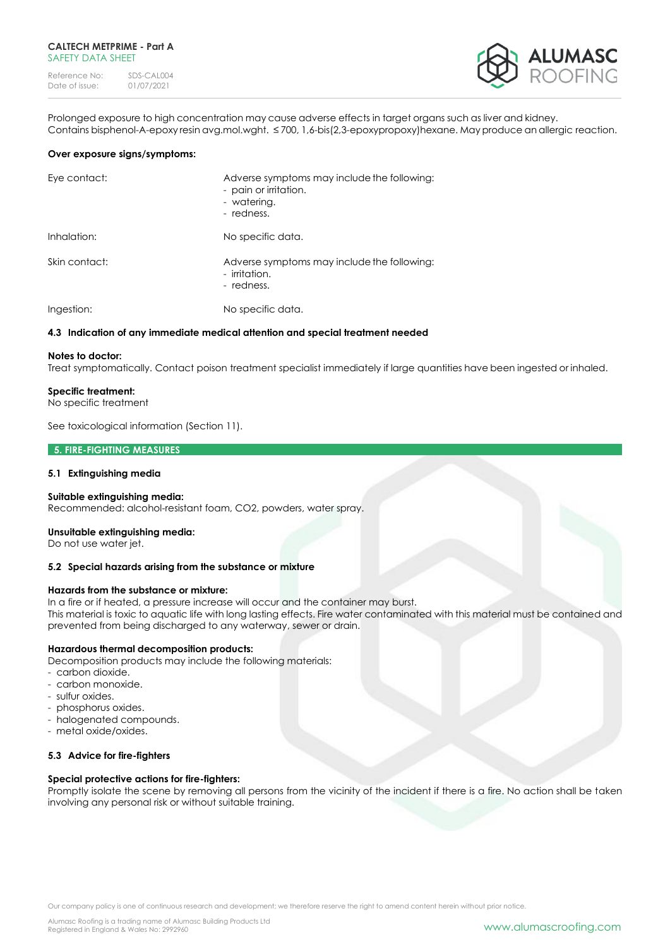

Prolonged exposure to high concentration may cause adverse effects in target organs such as liver and kidney. Contains bisphenol-A-epoxy resin avg.mol.wght. ≤ 700, 1,6-bis(2,3-epoxypropoxy)hexane. Mayproduce an allergic reaction.

## **Over exposure signs/symptoms:**

| Eye contact:  | Adverse symptoms may include the following:<br>- pain or irritation.<br>- watering.<br>- redness. |
|---------------|---------------------------------------------------------------------------------------------------|
| Inhalation:   | No specific data.                                                                                 |
| Skin contact: | Adverse symptoms may include the following:<br>- irritation.<br>- redness.                        |
| Ingestion:    | No specific data.                                                                                 |

## **4.3 Indication of any immediate medical attention and special treatment needed**

#### **Notes to doctor:**

Treat symptomatically. Contact poison treatment specialist immediately if large quantities have been ingested or inhaled.

# **Specific treatment:**

# No specific treatment

See toxicological information (Section 11).

# **5. FIRE-FIGHTING MEASURES**

# **5.1 Extinguishing media**

#### **Suitable extinguishing media:**  Recommended: alcohol-resistant foam, CO2, powders, water spray.

# **Unsuitable extinguishing media:**

Do not use water jet.

## **5.2 Special hazards arising from the substance or mixture**

## **Hazards from the substance or mixture:**

In a fire or if heated, a pressure increase will occur and the container may burst.

This material is toxic to aquatic life with long lasting effects. Fire water contaminated with this material must be contained and prevented from being discharged to any waterway, sewer or drain.

## **Hazardous thermal decomposition products:**

Decomposition products may include the following materials:

- carbon dioxide.
- carbon monoxide.
- sulfur oxides.
- phosphorus oxides.
- halogenated compounds.
- metal oxide/oxides.

## **5.3 Advice for fire-fighters**

# **Special protective actions for fire-fighters:**

Promptly isolate the scene by removing all persons from the vicinity of the incident if there is a fire. No action shall be taken involving any personal risk or without suitable training.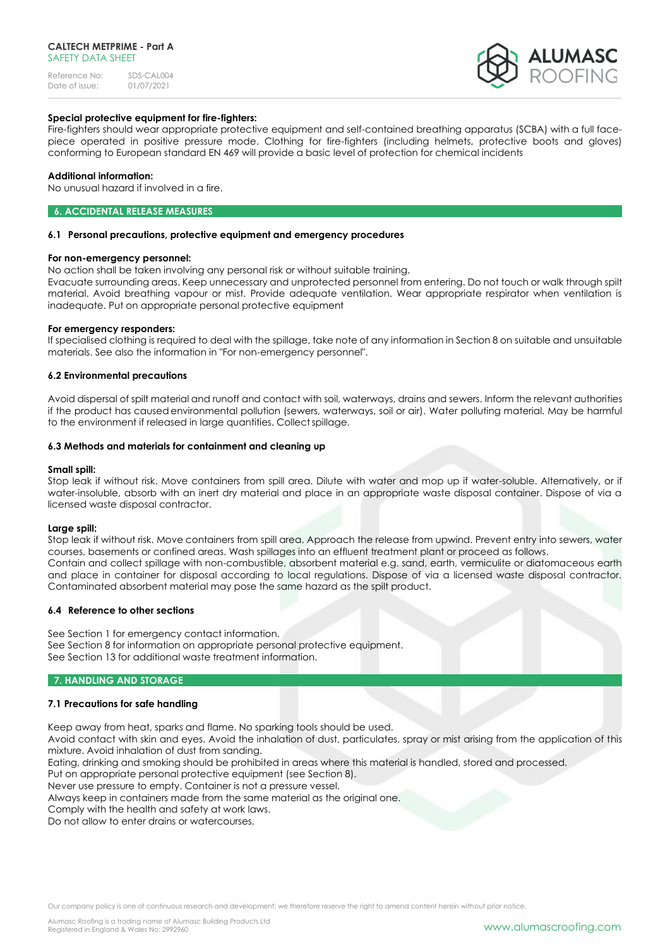Reference No: SDS-CAL004<br>Date of issue: 01/07/2021 Date of issue:



## **Special protective equipment for fire-fighters:**

Fire-fighters should wear appropriate protective equipment and self-contained breathing apparatus (SCBA) with a full facepiece operated in positive pressure mode. Clothing for fire-fighters (including helmets, protective boots and gloves) conforming to European standard EN 469 will provide a basic level of protection for chemical incidents

#### **Additional information:**

No unusual hazard if involved in a fire.

#### **6. ACCIDENTAL RELEASE MEASURES**

#### **6.1 Personal precautions, protective equipment and emergency procedures**

#### **For non-emergency personnel:**

No action shall be taken involving any personal risk or without suitable training.

Evacuate surrounding areas. Keep unnecessary and unprotected personnel from entering. Do not touch or walk through spilt material. Avoid breathing vapour or mist. Provide adequate ventilation. Wear appropriate respirator when ventilation is inadequate. Put on appropriate personal protective equipment

# **For emergency responders:**

If specialised clothing is required to deal with the spillage, take note of any information in Section 8 on suitable and unsuitable materials. See also the information in "For non-emergency personnel".

#### **6.2 Environmental precautions**

Avoid dispersal of spilt material and runoff and contact with soil, waterways, drains and sewers. Inform the relevant authorities if the product has caused environmental pollution (sewers, waterways, soil or air). Water polluting material. May be harmful to the environment if released in large quantities. Collect spillage.

#### **6.3 Methods and materials for containment and cleaning up**

#### **Small spill:**

Stop leak if without risk. Move containers from spill area. Dilute with water and mop up if water-soluble. Alternatively, or if water-insoluble, absorb with an inert dry material and place in an appropriate waste disposal container. Dispose of via a licensed waste disposal contractor.

#### **Large spill:**

Stop leak if without risk. Move containers from spill area. Approach the release from upwind. Prevent entry into sewers, water courses, basements or confined areas. Wash spillages into an effluent treatment plant or proceed as follows. Contain and collect spillage with non-combustible, absorbent material e.g. sand, earth, vermiculite or diatomaceous earth and place in container for disposal according to local regulations. Dispose of via a licensed waste disposal contractor. Contaminated absorbent material may pose the same hazard as the spilt product.

# **6.4 Reference to other sections**

See Section 1 for emergency contact information. See Section 8 for information on appropriate personal protective equipment. See Section 13 for additional waste treatment information.

#### **7. HANDLING AND STORAGE**

## **7.1 Precautions for safe handling**

Keep away from heat, sparks and flame. No sparking tools should be used.

Avoid contact with skin and eyes. Avoid the inhalation of dust, particulates, spray or mist arising from the application of this mixture. Avoid inhalation of dust from sanding.

Eating, drinking and smoking should be prohibited in areas where this material is handled, stored and processed.

Put on appropriate personal protective equipment (see Section 8).

Never use pressure to empty. Container is not a pressure vessel.

Always keep in containers made from the same material as the original one.

Comply with the health and safety at work laws.

Do not allow to enter drains or watercourses.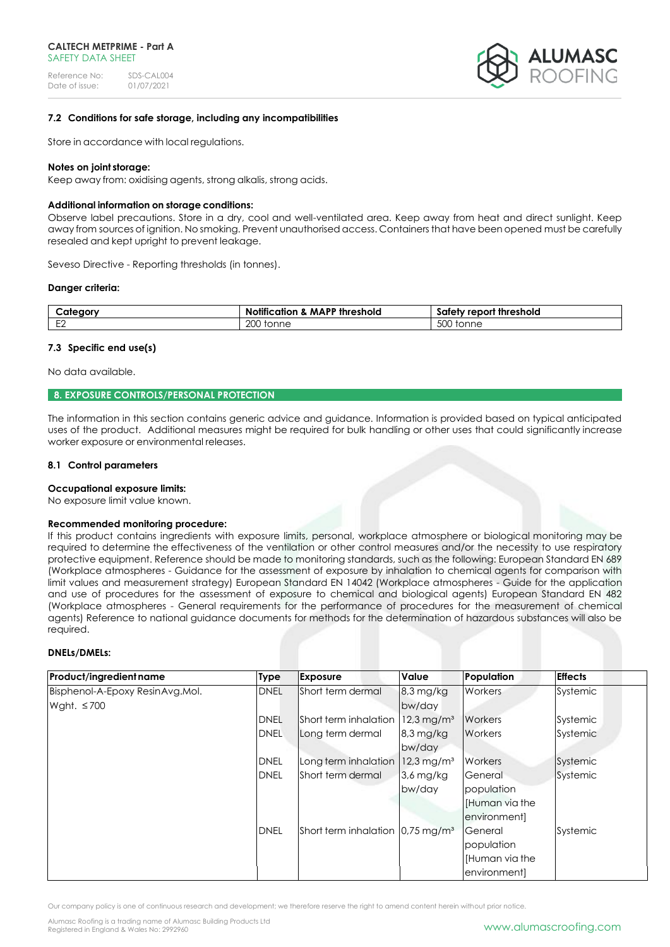

### **7.2 Conditions for safe storage, including any incompatibilities**

Store in accordance with local regulations.

#### **Notes on joint storage:**

Keep away from: oxidising agents, strong alkalis, strong acids.

#### **Additional information on storage conditions:**

Observe label precautions. Store in a dry, cool and well-ventilated area. Keep away from heat and direct sunlight. Keep away from sources of ignition. No smoking. Prevent unauthorised access. Containers that have been opened must be carefully resealed and kept upright to prevent leakage.

Seveso Directive - Reporting thresholds (in tonnes).

#### **Danger criteria:**

| :ateaorv | <b>Notification &amp;</b><br><b>MAPP threshold</b> | Safety report threshold |
|----------|----------------------------------------------------|-------------------------|
| $\Gamma$ | 200                                                | 500                     |
| ∟∠       | tonne                                              | tonne                   |

## **7.3 Specific end use(s)**

No data available.

#### **8. EXPOSURE CONTROLS/PERSONAL PROTECTION**

The information in this section contains generic advice and guidance. Information is provided based on typical anticipated uses of the product. Additional measures might be required for bulk handling or other uses that could significantly increase worker exposure or environmental releases.

#### **8.1 Control parameters**

#### **Occupational exposure limits:**

No exposure limit value known.

#### **Recommended monitoring procedure:**

If this product contains ingredients with exposure limits, personal, workplace atmosphere or biological monitoring may be required to determine the effectiveness of the ventilation or other control measures and/or the necessity to use respiratory protective equipment. Reference should be made to monitoring standards, such as the following: European Standard EN 689 (Workplace atmospheres - Guidance for the assessment of exposure by inhalation to chemical agents for comparison with limit values and measurement strategy) European Standard EN 14042 (Workplace atmospheres - Guide for the application and use of procedures for the assessment of exposure to chemical and biological agents) European Standard EN 482 (Workplace atmospheres - General requirements for the performance of procedures for the measurement of chemical agents) Reference to national guidance documents for methods for the determination of hazardous substances will also be required.

#### **DNELs/DMELs:**

| Product/ingredient name         | <b>Type</b> | Exposure                                                    | Value                 | Population    | <b>Effects</b> |
|---------------------------------|-------------|-------------------------------------------------------------|-----------------------|---------------|----------------|
| Bisphenol-A-Epoxy ResinAvg.Mol. | <b>DNEL</b> | Short term dermal                                           | 8,3 mg/kg             | Workers       | Systemic       |
| Wght. $\leq 700$                |             |                                                             | bw/day                |               |                |
|                                 | <b>DNEL</b> | Short term inhalation 12,3 mg/m <sup>3</sup>                |                       | Workers       | Systemic       |
|                                 | <b>DNEL</b> | Long term dermal                                            | $8,3$ mg/kg<br>bw/day | Workers       | Systemic       |
|                                 | <b>DNEL</b> | Long term inhalation                                        | $12.3 \text{ mg/m}^3$ | Workers       | Systemic       |
|                                 | <b>DNEL</b> | Short term dermal                                           | $3.6$ mg/kg           | General       | Systemic       |
|                                 |             |                                                             | bw/day                | population    |                |
|                                 |             |                                                             |                       | Human via the |                |
|                                 |             |                                                             |                       | environment]  |                |
|                                 | <b>DNEL</b> | Short term inhalation $\left 0.75\right $ mg/m <sup>3</sup> |                       | General       | Systemic       |
|                                 |             |                                                             |                       | population    |                |
|                                 |             |                                                             |                       | Human via the |                |
|                                 |             |                                                             |                       | environment]  |                |

Our company policy is one of continuous research and development; we therefore reserve the right to amend content herein without prior notice.

Alumasc Roofing is a trading name of Alumasc Building Products Ltd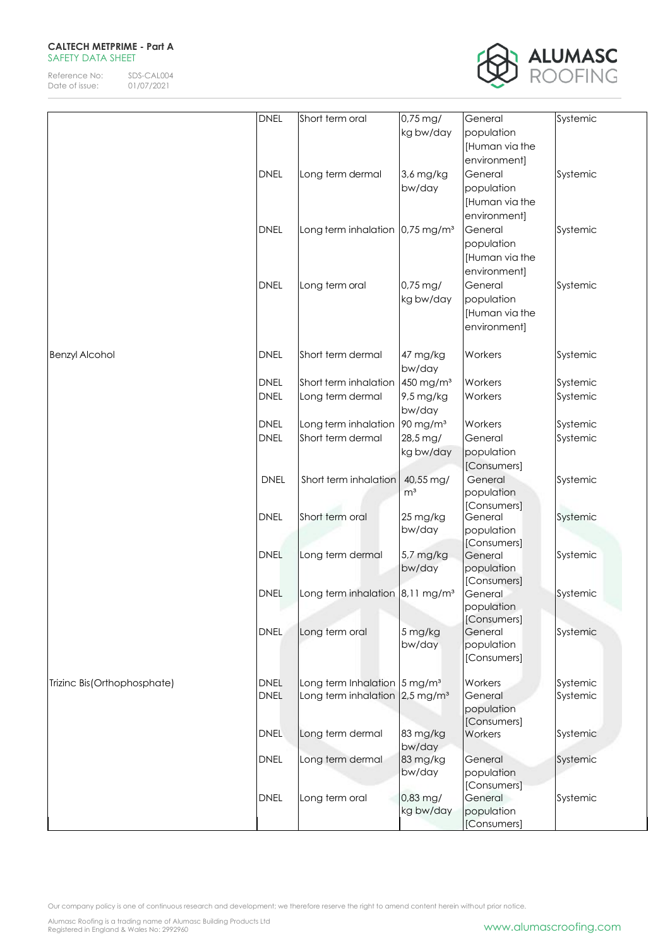Reference No: SDS-CAL004<br>Date of issue: 01/07/2021 Date of issue:



|                             | <b>DNEL</b> | Short term oral                             | $0.75$ mg/            | General                | Systemic |
|-----------------------------|-------------|---------------------------------------------|-----------------------|------------------------|----------|
|                             |             |                                             | kg bw/day             | population             |          |
|                             |             |                                             |                       | [Human via the         |          |
|                             |             |                                             |                       | environment]           |          |
|                             | <b>DNEL</b> | Long term dermal                            | 3,6 mg/kg             | General                | Systemic |
|                             |             |                                             | bw/day                | population             |          |
|                             |             |                                             |                       | [Human via the         |          |
|                             |             |                                             |                       | environment]           |          |
|                             | <b>DNEL</b> |                                             |                       | General                | Systemic |
|                             |             | Long term inhalation 0,75 mg/m <sup>3</sup> |                       |                        |          |
|                             |             |                                             |                       | population             |          |
|                             |             |                                             |                       | [Human via the         |          |
|                             |             |                                             |                       | environment]           |          |
|                             | <b>DNEL</b> | Long term oral                              | $0.75$ mg/            | General                | Systemic |
|                             |             |                                             | kg bw/day             | population             |          |
|                             |             |                                             |                       | [Human via the         |          |
|                             |             |                                             |                       | environment]           |          |
|                             | <b>DNEL</b> | Short term dermal                           |                       | Workers                |          |
| <b>Benzyl Alcohol</b>       |             |                                             | 47 mg/kg              |                        | Systemic |
|                             |             |                                             | bw/day                |                        |          |
|                             | <b>DNEL</b> | Short term inhalation                       | 450 mg/m <sup>3</sup> | Workers                | Systemic |
|                             | <b>DNEL</b> | Long term dermal                            | 9,5 mg/kg             | Workers                | Systemic |
|                             |             |                                             | bw/day                |                        |          |
|                             | <b>DNEL</b> | Long term inhalation                        | 90 mg/m <sup>3</sup>  | Workers                | Systemic |
|                             | <b>DNEL</b> | Short term dermal                           | 28,5 mg/              | General                | Systemic |
|                             |             |                                             | kg bw/day             | population             |          |
|                             |             |                                             |                       | [Consumers]            |          |
|                             | <b>DNEL</b> | Short term inhalation                       | 40,55 mg/             | General                | Systemic |
|                             |             |                                             | m <sup>3</sup>        | population             |          |
|                             | <b>DNEL</b> | Short term oral                             | 25 mg/kg              | [Consumers]<br>General | Systemic |
|                             |             |                                             | bw/day                | population             |          |
|                             |             |                                             |                       | [Consumers]            |          |
|                             | <b>DNEL</b> | Long term dermal                            | 5,7 mg/kg             | General                | Systemic |
|                             |             |                                             | bw/day                | population             |          |
|                             |             |                                             |                       | [Consumers]            |          |
|                             | <b>DNEL</b> | Long term inhalation 8,11 mg/m <sup>3</sup> |                       | General                | Systemic |
|                             |             |                                             |                       | population             |          |
|                             |             |                                             |                       | [Consumers]            |          |
|                             | <b>DNEL</b> | Long term oral                              | 5 mg/kg               | General                | Systemic |
|                             |             |                                             | bw/day                | population             |          |
|                             |             |                                             |                       | [Consumers]            |          |
| Trizinc Bis(Orthophosphate) | <b>DNEL</b> | Long term Inhalation 5 mg/m <sup>3</sup>    |                       | Workers                | Systemic |
|                             | <b>DNEL</b> | Long term inhalation 2,5 mg/m <sup>3</sup>  |                       | General                | Systemic |
|                             |             |                                             |                       | population             |          |
|                             |             |                                             |                       | [Consumers]            |          |
|                             | <b>DNEL</b> | Long term dermal                            | 83 mg/kg              | Workers                | Systemic |
|                             |             |                                             | bw/day                |                        |          |
|                             | <b>DNEL</b> | Long term dermal                            | 83 mg/kg              | General                | Systemic |
|                             |             |                                             | bw/day                | population             |          |
|                             |             |                                             |                       | [Consumers]            |          |
|                             | <b>DNEL</b> | Long term oral                              | 0,83 mg/              | General                | Systemic |
|                             |             |                                             | kg bw/day             | population             |          |
|                             |             |                                             |                       | [Consumers]            |          |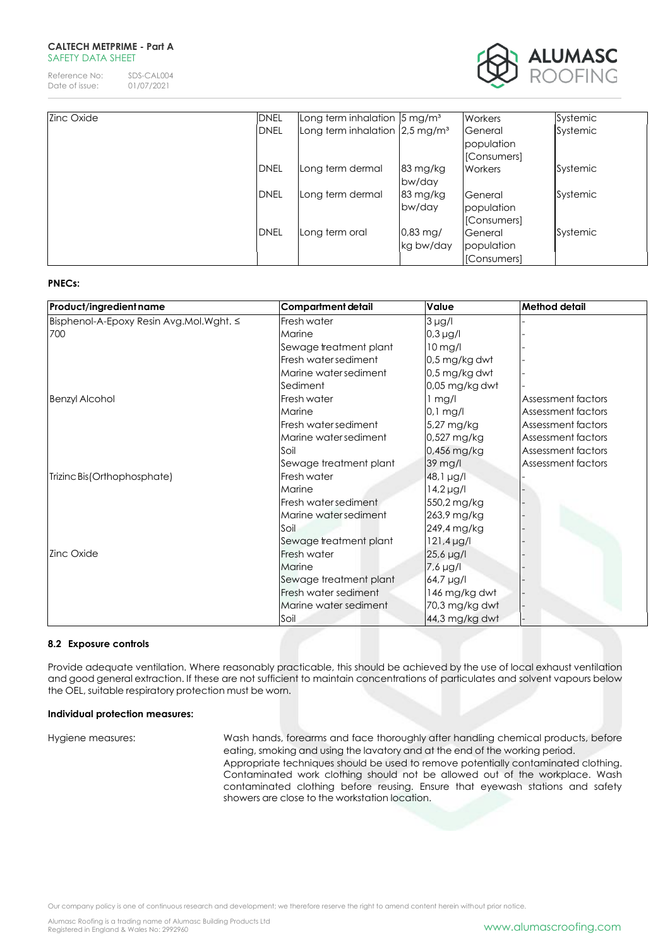Reference No: SDS-CAL004<br>Date of issue: 01/07/2021 Date of issue:



| Zinc Oxide | <b>DNEL</b> | Long term inhalation $ 5 \text{ mg/m}^3$                        |                       | Workers     | Systemic |
|------------|-------------|-----------------------------------------------------------------|-----------------------|-------------|----------|
|            | <b>DNEL</b> | Long term inhalation $\left 2,5\right\rangle$ mg/m <sup>3</sup> |                       | General     | Systemic |
|            |             |                                                                 |                       | population  |          |
|            |             |                                                                 |                       | [Consumers] |          |
|            | <b>DNEL</b> | Long term dermal                                                | $83 \,\mathrm{mg/kg}$ | Workers     | Systemic |
|            |             |                                                                 | bw/day                |             |          |
|            | <b>DNEL</b> | Long term dermal                                                | $83 \,\mathrm{mg/kg}$ | General     | Systemic |
|            |             |                                                                 | bw/day                | population  |          |
|            |             |                                                                 |                       | [Consumers] |          |
|            | <b>DNEL</b> | Long term oral                                                  | $0.83$ mg/            | General     | Systemic |
|            |             |                                                                 | kg bw/day             | population  |          |
|            |             |                                                                 |                       | [Consumers] |          |

## **PNECs:**

| Product/ingredient name                 | Compartment detail     | Value             | <b>Method detail</b> |
|-----------------------------------------|------------------------|-------------------|----------------------|
| Bisphenol-A-Epoxy Resin Avg.Mol.Wght. ≤ | Fresh water            | $3 \mu g/l$       |                      |
| 700                                     | Marine                 | $0.3 \mu g/l$     |                      |
|                                         | Sewage treatment plant | $10$ mg/l         |                      |
|                                         | lFresh water sediment  | 0,5 mg/kg dwt     |                      |
|                                         | Marine water sediment  | 0,5 mg/kg dwt     |                      |
|                                         | Sediment               | 0,05 mg/kg dwt    |                      |
| <b>Benzyl Alcohol</b>                   | <b>Fresh water</b>     | $1$ mg/l          | Assessment factors   |
|                                         | Marine                 | $0.1$ mg/l        | Assessment factors   |
|                                         | lFresh water sediment  | 5,27 mg/kg        | Assessment factors   |
|                                         | Marine water sediment  | 0,527 mg/kg       | Assessment factors   |
|                                         | Soil                   | 0,456 mg/kg       | Assessment factors   |
|                                         | Sewage treatment plant | 39 mg/l           | Assessment factors   |
| Trizinc Bis (Orthophosphate)            | <b>Fresh water</b>     | 48, 1 µg/l        |                      |
|                                         | Marine                 | $14.2 \,\mu g/l$  |                      |
|                                         | Fresh water sediment   | 550,2 mg/kg       |                      |
|                                         | Marine water sediment  | 263,9 mg/kg       |                      |
|                                         | Soil                   | 249,4 mg/kg       |                      |
|                                         | Sewage treatment plant | $121.4 \,\mu g/l$ |                      |
| <b>Zinc Oxide</b>                       | Fresh water            | 25,6 µg/l         |                      |
|                                         | Marine                 | $7.6 \mu g/l$     |                      |
|                                         | Sewage treatment plant | 64,7 µg/l         |                      |
|                                         | Fresh water sediment   | 146 mg/kg dwt     |                      |
|                                         | Marine water sediment  | 70,3 mg/kg dwt    |                      |
|                                         | Soil                   | 44,3 mg/kg dwt    |                      |

## **8.2 Exposure controls**

Provide adequate ventilation. Where reasonably practicable, this should be achieved by the use of local exhaust ventilation and good general extraction. If these are not sufficient to maintain concentrations of particulates and solvent vapours below the OEL, suitable respiratory protection must be worn.

## **Individual protection measures:**

Hygiene measures: Wash hands, forearms and face thoroughly after handling chemical products, before eating, smoking and using the lavatory and at the end of the working period. Appropriate techniques should be used to remove potentially contaminated clothing. Contaminated work clothing should not be allowed out of the workplace. Wash contaminated clothing before reusing. Ensure that eyewash stations and safety showers are close to the workstation location.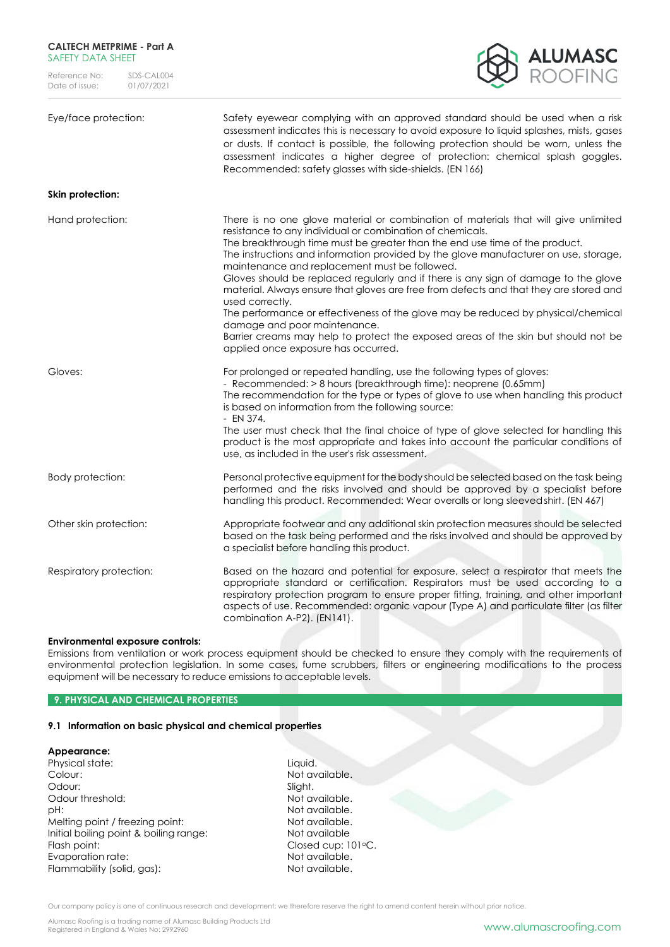Reference No: SDS-CAL004<br>Date of issue: 01/07/2021 Date of issue:



| Eye/face protection:    | Safety eyewear complying with an approved standard should be used when a risk<br>assessment indicates this is necessary to avoid exposure to liquid splashes, mists, gases<br>or dusts. If contact is possible, the following protection should be worn, unless the<br>assessment indicates a higher degree of protection: chemical splash goggles.<br>Recommended: safety glasses with side-shields. (EN 166)                                                                                                                                                                                                                                                                                                                                                                                                                 |
|-------------------------|--------------------------------------------------------------------------------------------------------------------------------------------------------------------------------------------------------------------------------------------------------------------------------------------------------------------------------------------------------------------------------------------------------------------------------------------------------------------------------------------------------------------------------------------------------------------------------------------------------------------------------------------------------------------------------------------------------------------------------------------------------------------------------------------------------------------------------|
| Skin protection:        |                                                                                                                                                                                                                                                                                                                                                                                                                                                                                                                                                                                                                                                                                                                                                                                                                                |
| Hand protection:        | There is no one glove material or combination of materials that will give unlimited<br>resistance to any individual or combination of chemicals.<br>The breakthrough time must be greater than the end use time of the product.<br>The instructions and information provided by the glove manufacturer on use, storage,<br>maintenance and replacement must be followed.<br>Gloves should be replaced regularly and if there is any sign of damage to the glove<br>material. Always ensure that gloves are free from defects and that they are stored and<br>used correctly.<br>The performance or effectiveness of the glove may be reduced by physical/chemical<br>damage and poor maintenance.<br>Barrier creams may help to protect the exposed areas of the skin but should not be<br>applied once exposure has occurred. |
| Gloves:                 | For prolonged or repeated handling, use the following types of gloves:<br>- Recommended: > 8 hours (breakthrough time): neoprene (0.65mm)<br>The recommendation for the type or types of glove to use when handling this product<br>is based on information from the following source:<br>$-$ EN 374.<br>The user must check that the final choice of type of glove selected for handling this<br>product is the most appropriate and takes into account the particular conditions of<br>use, as included in the user's risk assessment.                                                                                                                                                                                                                                                                                       |
| <b>Body protection:</b> | Personal protective equipment for the body should be selected based on the task being<br>performed and the risks involved and should be approved by a specialist before<br>handling this product. Recommended: Wear overalls or long sleeved shirt. (EN 467)                                                                                                                                                                                                                                                                                                                                                                                                                                                                                                                                                                   |
| Other skin protection:  | Appropriate footwear and any additional skin protection measures should be selected<br>based on the task being performed and the risks involved and should be approved by<br>a specialist before handling this product.                                                                                                                                                                                                                                                                                                                                                                                                                                                                                                                                                                                                        |
| Respiratory protection: | Based on the hazard and potential for exposure, select a respirator that meets the<br>appropriate standard or certification. Respirators must be used according to a<br>respiratory protection program to ensure proper fitting, training, and other important<br>aspects of use. Recommended: organic vapour (Type A) and particulate filter (as filter<br>combination A-P2). (EN141).                                                                                                                                                                                                                                                                                                                                                                                                                                        |
|                         |                                                                                                                                                                                                                                                                                                                                                                                                                                                                                                                                                                                                                                                                                                                                                                                                                                |

## **Environmental exposure controls:**

Emissions from ventilation or work process equipment should be checked to ensure they comply with the requirements of environmental protection legislation. In some cases, fume scrubbers, filters or engineering modifications to the process equipment will be necessary to reduce emissions to acceptable levels.

# **9. PHYSICAL AND CHEMICAL PROPERTIES**

#### **9.1 Information on basic physical and chemical properties**

## **Appearance:**

Physical state: Liquid.<br>Colour: Liquid. Colour: Liquid. Odour: Odour threshold: Not available. pH:  $P$ Melting point / freezing point: Not available. Initial boiling point & boiling range: Not available Flash point: Closed cup: 101°C.<br>
Fyaporation rate: Closed cup: 101°C.<br>
Not available. Evaporation rate: Not available.<br>Flammability (solid, aas): Not available. Flammability (solid, gas):

Not available.<br>Sliaht.

Our company policy is one of continuous research and development; we therefore reserve the right to amend content herein without prior notice.

Alumasc Roofing is a trading name of Alumasc Building Products Ltd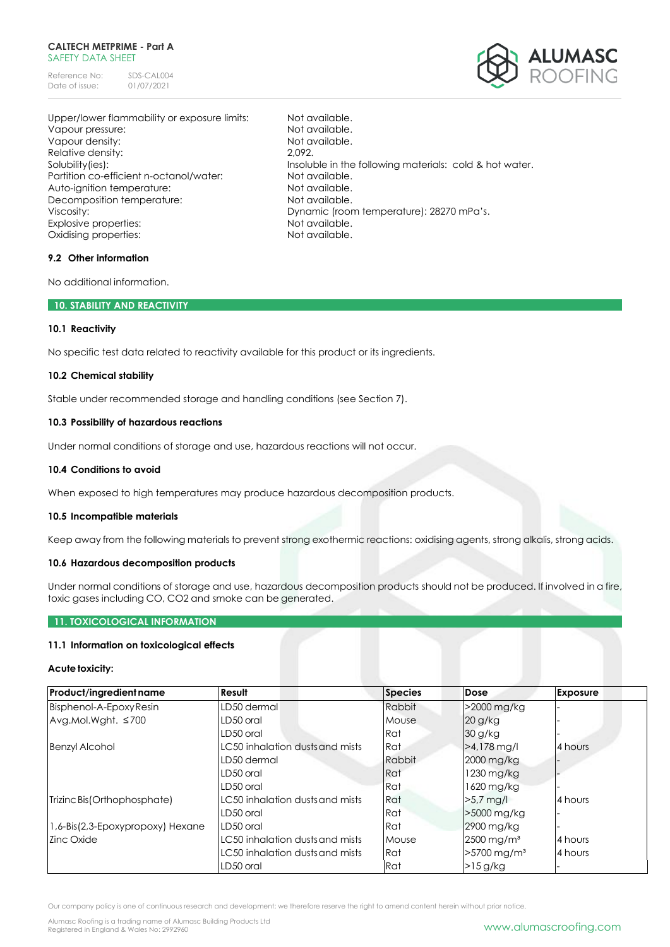Reference No: SDS-CAL004<br>Date of issue: 01/07/2021 Date of issue:



Upper/lower flammability or exposure limits: Not available. Vapour pressure:  $\blacksquare$ Vapour density:  $\blacksquare$ Relative density: 2,092. Partition co-efficient n-octanol/water: Not available.<br>Auto-ignition temperature: Not available. Auto-ignition temperature: Decomposition temperature: Not available. Explosive properties: Not available. Oxidising properties: Not available.

Solubility(ies): Insoluble in the following materials: cold & hot water. Viscosity: Dynamic (room temperature): 28270 mPa's.

# **9.2 Other information**

No additional information.

#### **10. STABILITY AND REACTIVITY**

## **10.1 Reactivity**

No specific test data related to reactivity available for this product or its ingredients.

## **10.2 Chemical stability**

Stable under recommended storage and handling conditions (see Section 7).

## **10.3 Possibility of hazardous reactions**

Under normal conditions of storage and use, hazardous reactions will not occur.

#### **10.4 Conditions to avoid**

When exposed to high temperatures may produce hazardous decomposition products.

#### **10.5 Incompatible materials**

Keep away from the following materials to prevent strong exothermic reactions: oxidising agents, strong alkalis, strong acids.

# **10.6 Hazardous decomposition products**

Under normal conditions of storage and use, hazardous decomposition products should not be produced. If involved in a fire, toxic gases including CO, CO2 and smoke can be generated.

# **11. TOXICOLOGICAL INFORMATION**

# **11.1 Information on toxicological effects**

#### **Acute toxicity:**

| Product/ingredient name          | <b>Result</b>                   | <b>Species</b> | Dose                      | <b>Exposure</b> |
|----------------------------------|---------------------------------|----------------|---------------------------|-----------------|
| Bisphenol-A-Epoxy Resin          | LD50 dermal                     | Rabbit         | >2000 mg/kg               |                 |
| Avg.Mol.Wght. ≤700               | LD50 oral                       | Mouse          | $20$ g/kg                 |                 |
|                                  | LD50 oral                       | Rat            | 30 g/kg                   |                 |
| <b>Benzyl Alcohol</b>            | LC50 inhalation dusts and mists | Rat.           | $>4.178$ mg/l             | 4 hours         |
|                                  | LD50 dermal                     | <b>Rabbit</b>  | 2000 mg/kg                |                 |
|                                  | LD50 oral                       | Rat            | 1230 mg/kg                |                 |
|                                  | LD50 oral                       | Rat            | 1620 mg/kg                |                 |
| Trizinc Bis (Orthophosphate)     | LC50 inhalation dusts and mists | Rat            | $>5.7$ mg/l               | 4 hours         |
|                                  | LD50 oral                       | Rat            | >5000 mg/kg               |                 |
| 1,6-Bis(2,3-Epoxypropoxy) Hexane | LD50 oral                       | Rat            | 2900 mg/kg                |                 |
| Zinc Oxide                       | LC50 inhalation dusts and mists | Mouse          | $2500$ mg/m <sup>3</sup>  | 4 hours         |
|                                  | LC50 inhalation dusts and mists | Rat            | $>5700$ mg/m <sup>3</sup> | 4 hours         |
|                                  | LD50 oral                       | Rat            | $>15$ g/kg                |                 |

Our company policy is one of continuous research and development; we therefore reserve the right to amend content herein without prior notice.

Alumasc Roofing is a trading name of Alumasc Building Products Ltd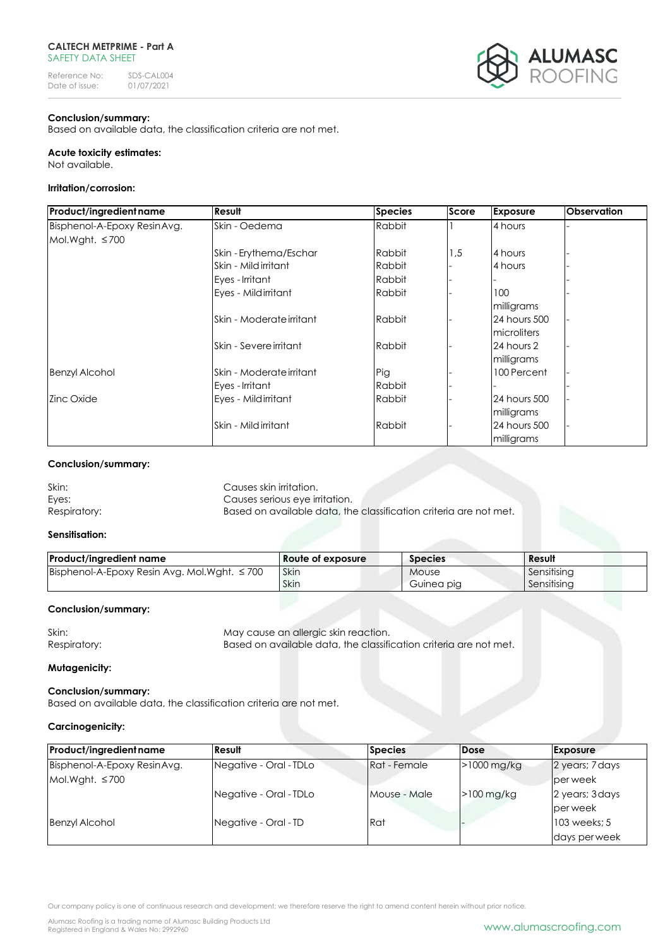Reference No: SDS-CAL004<br>Date of issue: 01/07/2021 Date of issue:



# **Conclusion/summary:**

Based on available data, the classification criteria are not met.

# **Acute toxicity estimates:**

Not available.

# **Irritation/corrosion:**

| <b>Product/ingredient name</b> | Result                   | <b>Species</b> | Score | <b>Exposure</b>     | <b>Observation</b> |
|--------------------------------|--------------------------|----------------|-------|---------------------|--------------------|
| Bisphenol-A-Epoxy ResinAvg.    | Skin - Oedema            | Rabbit         |       | 4 hours             |                    |
| Mol. Wght. $\leq 700$          |                          |                |       |                     |                    |
|                                | Skin - Erythema/Eschar   | Rabbit         | 1,5   | 4 hours             |                    |
|                                | Skin - Mildirritant      | Rabbit         |       | 4 hours             |                    |
|                                | Eyes - Irritant          | Rabbit         |       |                     |                    |
|                                | Eyes - Mildirritant      | Rabbit         |       | 100                 |                    |
|                                |                          |                |       | milligrams          |                    |
|                                | Skin - Moderate irritant | Rabbit         |       | <b>24 hours 500</b> |                    |
|                                |                          |                |       | <b>Imicroliters</b> |                    |
|                                | Skin - Severe irritant   | Rabbit         |       | 24 hours 2          |                    |
|                                |                          |                |       | milligrams          |                    |
| <b>Benzyl Alcohol</b>          | Skin - Moderate irritant | Pig            |       | 100 Percent         |                    |
|                                | Eyes - Irritant          | Rabbit         |       |                     |                    |
| <b>Zinc Oxide</b>              | Eyes - Mildirritant      | Rabbit         |       | 24 hours 500        |                    |
|                                |                          |                |       | milligrams          |                    |
|                                | Skin - Mildirritant      | Rabbit         |       | <b>24 hours 500</b> |                    |
|                                |                          |                |       | milligrams          |                    |

# **Conclusion/summary:**

| Skin:        | Causes skin irritation.                                           |
|--------------|-------------------------------------------------------------------|
| Eves:        | Causes serious eye irritation.                                    |
| Respiratory: | Based on available data, the classification criteria are not met. |

# **Sensitisation:**

| <b>Product/ingredient name</b>                     | Route of exposure | <b>Species</b> | Result      |
|----------------------------------------------------|-------------------|----------------|-------------|
| Bisphenol-A-Epoxy Resin Avg. Mol. Wght. $\leq 700$ | Skin              | Mouse          | Sensitising |
|                                                    | Skin              | Guinea pig     | Sensitising |

# **Conclusion/summary:**

Skin: Skin: May cause an allergic skin reaction. Respiratory: Based on available data, the classification criteria are not met.

# **Mutagenicity:**

#### **Conclusion/summary:**

Based on available data, the classification criteria are not met.

# **Carcinogenicity:**

| Product/ingredient name     | Result                 | <b>Species</b> | Dose          | <b>Exposure</b> |
|-----------------------------|------------------------|----------------|---------------|-----------------|
| Bisphenol-A-Epoxy ResinAvg. | Negative - Oral - TDLo | Rat - Female   | $>1000$ mg/kg | 2 years; 7 days |
| Mol. Wght. $\leq 700$       |                        |                |               | per week        |
|                             | Negative - Oral - TDLo | Mouse - Male   | $>100$ mg/kg  | 2 years; 3 days |
|                             |                        |                |               | per week        |
| <b>Benzyl Alcohol</b>       | Negative - Oral - TD   | Rat            |               | 103 weeks; 5    |
|                             |                        |                |               | days per week   |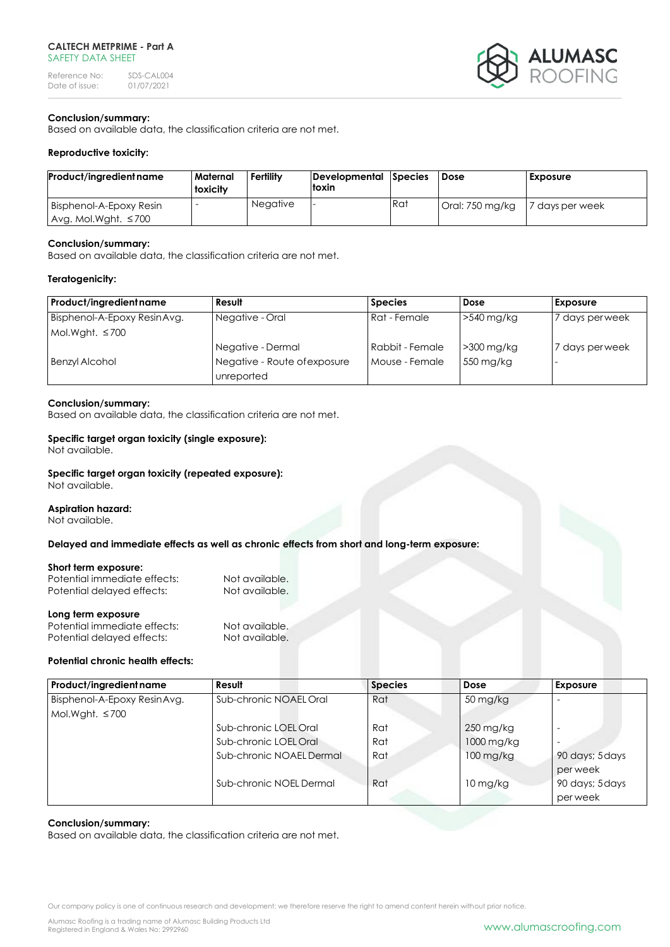Reference No: SDS-CAL004<br>Date of issue: 01/07/2021 Date of issue:



# **Conclusion/summary:**

Based on available data, the classification criteria are not met.

# **Reproductive toxicity:**

| Product/ingredient name                          | Maternal<br><b>toxicity</b> | <b>Fertility</b> | Developmental Species<br>toxin |     | l Dose          | <b>Exposure</b> |
|--------------------------------------------------|-----------------------------|------------------|--------------------------------|-----|-----------------|-----------------|
| Bisphenol-A-Epoxy Resin<br>  Avg. Mol.Wght. ≤700 | -                           | <b>Negative</b>  |                                | Rat | Oral: 750 mg/kg | 7 days per week |

## **Conclusion/summary:**

Based on available data, the classification criteria are not met.

#### **Teratogenicity:**

| Product/ingredient name     | Result                       | <b>Species</b>  | Dose         | <b>Exposure</b> |
|-----------------------------|------------------------------|-----------------|--------------|-----------------|
| Bisphenol-A-Epoxy ResinAvg. | Negative - Oral              | Rat - Female    | $>540$ mg/kg | 7 days perweek  |
| Mol. Wght. $\leq 700$       |                              |                 |              |                 |
|                             | Negative - Dermal            | Rabbit - Female | $>300$ mg/kg | 17 days perweek |
| <b>Benzyl Alcohol</b>       | Negative - Route of exposure | Mouse - Female  | 550 mg/kg    |                 |
|                             | unreported                   |                 |              |                 |

## **Conclusion/summary:**

Based on available data, the classification criteria are not met.

## **Specific target organ toxicity (single exposure):**

Not available.

# **Specific target organ toxicity (repeated exposure):**

Not available.

#### **Aspiration hazard:**

Not available.

**Delayed and immediate effects as well as chronic effects from short and long-term exposure:**

#### **Short term exposure:**

| Potential immediate effects: | Not available. |
|------------------------------|----------------|
| Potential delayed effects:   | Not available. |
|                              |                |
| Long term exposure           |                |
| Potential immediate effects: | Not available. |

Potential delayed effects: Not available.

# **Potential chronic health effects:**

| Product/ingredient name     | Result                   | <b>Species</b> | Dose                   | <b>Exposure</b> |
|-----------------------------|--------------------------|----------------|------------------------|-----------------|
| Bisphenol-A-Epoxy ResinAvg. | Sub-chronic NOAEL Oral   | Rat            | 50 mg/kg               |                 |
| $Mol.Wight. \leq 700$       |                          |                |                        |                 |
|                             | Sub-chronic LOEL Oral    | Rat            | $250 \,\mathrm{mg/kg}$ |                 |
|                             | Sub-chronic LOEL Oral    | Rat            | 1000 mg/kg             |                 |
|                             | Sub-chronic NOAEL Dermal | Rat            | $100 \,\mathrm{mg/kg}$ | 90 days; 5 days |
|                             |                          |                |                        | per week        |
|                             | Sub-chronic NOEL Dermal  | Rat            | $10 \,\mathrm{mg/kg}$  | 90 days; 5 days |
|                             |                          |                |                        | per week        |

## **Conclusion/summary:**

Based on available data, the classification criteria are not met.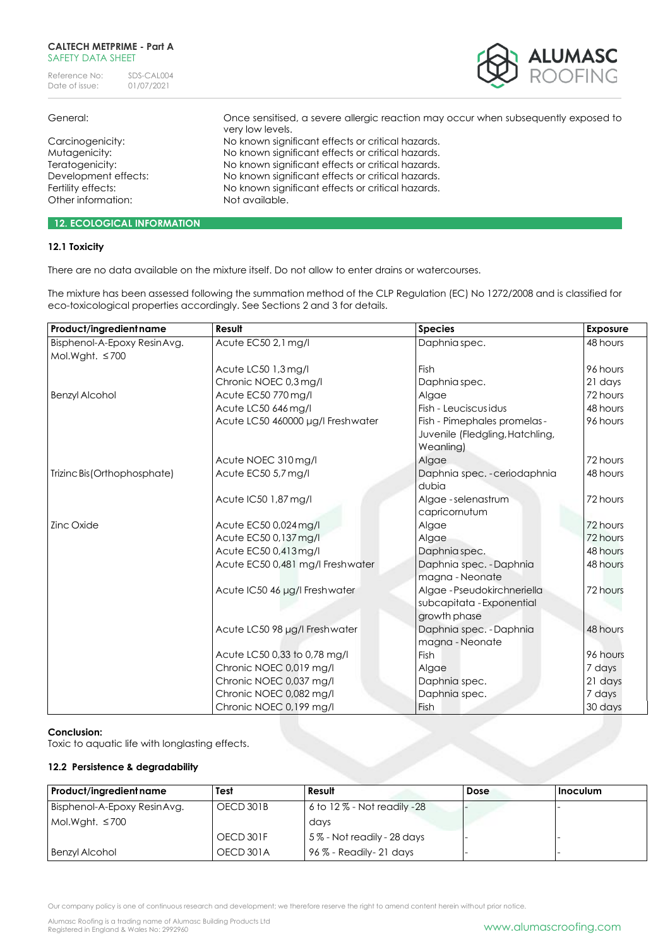Reference No: SDS-CAL004<br>Date of issue: 01/07/2021 Date of issue:



General: Once sensitised, a severe allergic reaction may occur when subsequently exposed to very low levels. Carcinogenicity: No known significant effects or critical hazards. Mutagenicity: Moknown significant effects or critical hazards. Teratogenicity: No known significant effects or critical hazards. Development effects: No known significant effects or critical hazards. Fertility effects: No known significant effects or critical hazards. Other information: Not available. **12. ECOLOGICAL INFORMATION**

# **12.1 Toxicity**

There are no data available on the mixture itself. Do not allow to enter drains or watercourses.

The mixture has been assessed following the summation method of the CLP Regulation (EC) No 1272/2008 and is classified for eco-toxicological properties accordingly. See Sections 2 and 3 for details.

| Product/ingredient name     | Result                            | <b>Species</b>                  | <b>Exposure</b> |
|-----------------------------|-----------------------------------|---------------------------------|-----------------|
| Bisphenol-A-Epoxy ResinAvg. | Acute EC50 2,1 mg/l               | Daphnia spec.                   | 48 hours        |
| Mol. Wght. $\leq 700$       |                                   |                                 |                 |
|                             | Acute LC50 1,3 mg/l               | Fish                            | 96 hours        |
|                             | Chronic NOEC 0,3 mg/l             | Daphnia spec.                   | 21 days         |
| <b>Benzyl Alcohol</b>       | Acute EC50 770 mg/l               | Algae                           | 72 hours        |
|                             | Acute LC50 646 mg/l               | Fish - Leuciscus idus           | 48 hours        |
|                             | Acute LC50 460000 µg/l Freshwater | Fish - Pimephales promelas -    | 96 hours        |
|                             |                                   | Juvenile (Fledgling, Hatchling, |                 |
|                             |                                   | Weanling)                       |                 |
|                             | Acute NOEC 310 mg/l               | Algae                           | 72 hours        |
| Trizinc Bis(Orthophosphate) | Acute EC50 5,7 mg/l               | Daphnia spec. - ceriodaphnia    | 48 hours        |
|                             |                                   | dubia                           |                 |
|                             | Acute IC50 1,87 mg/l              | Algae - selenastrum             | 72 hours        |
|                             |                                   | capricornutum                   |                 |
| <b>Zinc Oxide</b>           | Acute EC50 0,024 mg/l             | Algae                           | 72 hours        |
|                             | Acute EC50 0,137 mg/l             | Algae                           | 72 hours        |
|                             | Acute EC50 0,413 mg/l             | Daphnia spec.                   | 48 hours        |
|                             | Acute EC50 0,481 mg/l Freshwater  | Daphnia spec. - Daphnia         | 48 hours        |
|                             |                                   | magna - Neonate                 |                 |
|                             | Acute IC50 46 µg/l Freshwater     | Algae - Pseudokirchneriella     | 72 hours        |
|                             |                                   | subcapitata - Exponential       |                 |
|                             |                                   | growth phase                    |                 |
|                             | Acute LC50 98 µg/l Freshwater     | Daphnia spec. - Daphnia         | 48 hours        |
|                             |                                   | magna - Neonate                 |                 |
|                             | Acute LC50 0,33 to 0,78 mg/l      | Fish                            | 96 hours        |
|                             | Chronic NOEC 0,019 mg/l           | Algae                           | 7 days          |
|                             | Chronic NOEC 0,037 mg/l           | Daphnia spec.                   | 21 days         |
|                             | Chronic NOEC 0,082 mg/l           | Daphnia spec.                   | 7 days          |
|                             | Chronic NOEC 0,199 mg/l           | Fish                            | 30 days         |

# **Conclusion:**

Toxic to aquatic life with longlasting effects.

## **12.2 Persistence & degradability**

| Product/ingredient name     | Test      | Result                           | Dose | <b>Inoculum</b> |
|-----------------------------|-----------|----------------------------------|------|-----------------|
| Bisphenol-A-Epoxy ResinAvg. | OECD 301B | $6$ to 12 $\%$ - Not readily -28 |      |                 |
| Mol.Wght. $\leq 700$        |           | days                             |      |                 |
|                             | OECD 301F | 5% - Not readily - 28 days       |      |                 |
| <b>Benzyl Alcohol</b>       | OECD 301A | $96\%$ - Readily - 21 days       |      |                 |

Our company policy is one of continuous research and development; we therefore reserve the right to amend content herein without prior notice.

Alumasc Roofing is a trading name of Alumasc Building Products Ltd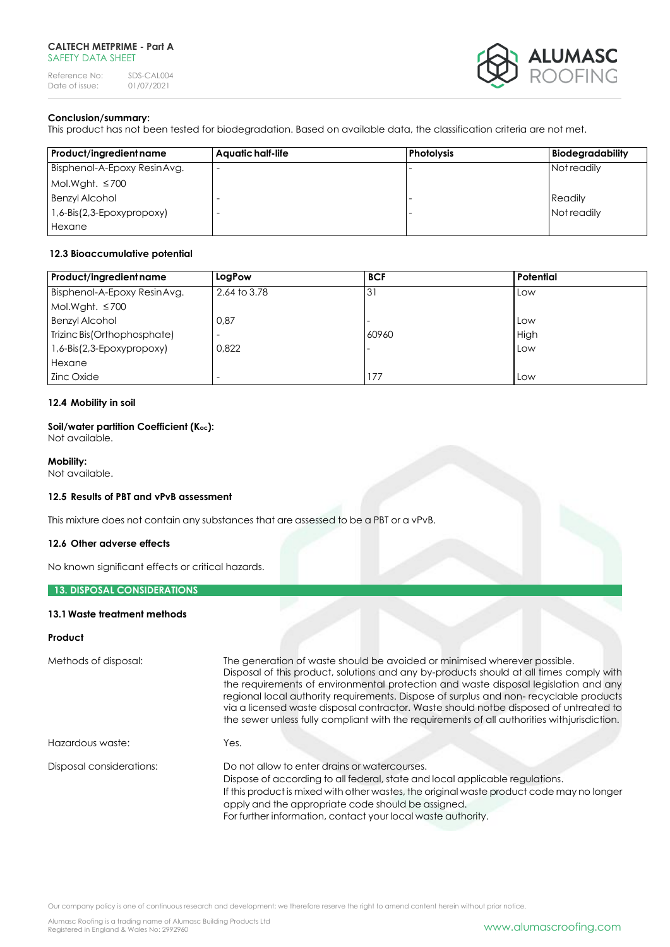Reference No: SDS-CAL004<br>Date of issue: 01/07/2021 Date of issue:



# **Conclusion/summary:**

This product has not been tested for biodegradation. Based on available data, the classification criteria are not met.

| Product/ingredient name      | Aquatic half-life | <b>Photolysis</b> | <b>Biodegradability</b> |
|------------------------------|-------------------|-------------------|-------------------------|
| Bisphenol-A-Epoxy ResinAvg.  |                   |                   | Not readily             |
| Mol.Wght. $\leq 700$         |                   |                   |                         |
| <b>Benzyl Alcohol</b>        |                   |                   | Readily                 |
| $1,6$ -Bis(2,3-Epoxypropoxy) |                   |                   | Not readily             |
| Hexane                       |                   |                   |                         |

# **12.3 Bioaccumulative potential**

| Product/ingredient name      | LogPow       | <b>BCF</b>        | Potential |
|------------------------------|--------------|-------------------|-----------|
| Bisphenol-A-Epoxy ResinAvg.  | 2.64 to 3.78 | $\lvert 3 \rvert$ | Low       |
| Mol.Wght. $\leq 700$         |              |                   |           |
| <b>Benzyl Alcohol</b>        | 0.87         |                   | Low       |
| Trizinc Bis (Orthophosphate) |              | 60960             | High      |
| $1,6$ -Bis(2,3-Epoxypropoxy) | 0.822        |                   | Low       |
| Hexane                       |              |                   |           |
| Zinc Oxide                   | -            | 177               | Low       |

## **12.4 Mobility in soil**

# **Soil/water partition Coefficient (Koc):**

Not available.

## **Mobility:**

Not available.

# **12.5 Results of PBT and vPvB assessment**

This mixture does not contain any substances that are assessed to be a PBT or a vPvB.

# **12.6 Other adverse effects**

No known significant effects or critical hazards.

# **13. DISPOSAL CONSIDERATIONS**

# **13.1Waste treatment methods**

# **Product**

| Methods of disposal:     | The generation of waste should be avoided or minimised wherever possible.<br>Disposal of this product, solutions and any by-products should at all times comply with<br>the requirements of environmental protection and waste disposal legislation and any<br>regional local authority requirements. Dispose of surplus and non-recyclable products<br>via a licensed waste disposal contractor. Waste should notbe disposed of untreated to<br>the sewer unless fully compliant with the requirements of all authorities with jurisdiction. |  |
|--------------------------|-----------------------------------------------------------------------------------------------------------------------------------------------------------------------------------------------------------------------------------------------------------------------------------------------------------------------------------------------------------------------------------------------------------------------------------------------------------------------------------------------------------------------------------------------|--|
| Hazardous waste:         | Yes.                                                                                                                                                                                                                                                                                                                                                                                                                                                                                                                                          |  |
| Disposal considerations: | Do not allow to enter drains or watercourses.<br>Dispose of according to all federal, state and local applicable regulations.<br>If this product is mixed with other wastes, the original waste product code may no longer<br>apply and the appropriate code should be assigned.<br>For further information, contact your local waste authority.                                                                                                                                                                                              |  |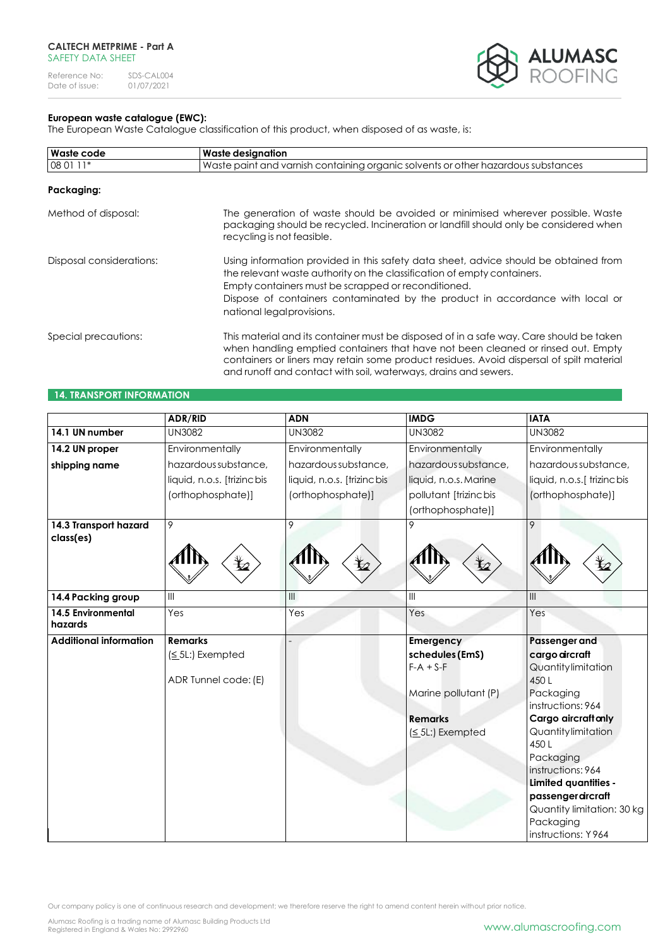Reference No: SDS-CAL004<br>Date of issue: 01/07/2021 Date of issue:



# **European waste catalogue (EWC):**

The European Waste Catalogue classification of this product, when disposed of as waste, is:

| Waste code<br>Waste designation |                                                                                                                                                                                                                                                                                                                                            |  |  |  |
|---------------------------------|--------------------------------------------------------------------------------------------------------------------------------------------------------------------------------------------------------------------------------------------------------------------------------------------------------------------------------------------|--|--|--|
| 08 01 11*                       | Waste paint and varnish containing organic solvents or other hazardous substances                                                                                                                                                                                                                                                          |  |  |  |
| Packaging:                      |                                                                                                                                                                                                                                                                                                                                            |  |  |  |
| Method of disposal:             | The generation of waste should be avoided or minimised wherever possible. Waste<br>packaging should be recycled. Incineration or landfill should only be considered when<br>recycling is not feasible.                                                                                                                                     |  |  |  |
| Disposal considerations:        | Using information provided in this safety data sheet, advice should be obtained from<br>the relevant waste authority on the classification of empty containers.<br>Empty containers must be scrapped or reconditioned.<br>Dispose of containers contaminated by the product in accordance with local or<br>national legal provisions.      |  |  |  |
| Special precautions:            | This material and its container must be disposed of in a safe way. Care should be taken<br>when handling emptied containers that have not been cleaned or rinsed out. Empty<br>containers or liners may retain some product residues. Avoid dispersal of spilt material<br>and runoff and contact with soil, waterways, drains and sewers. |  |  |  |

# **14. TRANSPORT INFORMATION**

|                                    | <b>ADR/RID</b>              | <b>ADN</b>                  | <b>IMDG</b>            | <b>IATA</b>                                                                         |
|------------------------------------|-----------------------------|-----------------------------|------------------------|-------------------------------------------------------------------------------------|
| 14.1 UN number                     | <b>UN3082</b>               | <b>UN3082</b>               | <b>UN3082</b>          | <b>UN3082</b>                                                                       |
| 14.2 UN proper                     | Environmentally             | Environmentally             | Environmentally        | Environmentally                                                                     |
| shipping name                      | hazardous substance,        | hazardous substance,        | hazardous substance,   | hazardous substance,                                                                |
|                                    | liquid, n.o.s. [trizinc bis | liquid, n.o.s. [trizinc bis | liquid, n.o.s. Marine  | liquid, n.o.s.[ trizinc bis                                                         |
|                                    | (orthophosphate)]           | (orthophosphate)]           | pollutant [trizincbis] | (orthophosphate)]                                                                   |
|                                    |                             |                             | (orthophosphate)]      |                                                                                     |
| 14.3 Transport hazard<br>class(es) | 9                           | 9                           | 9                      | 9                                                                                   |
| 14.4 Packing group                 | III                         | III                         | III                    | III                                                                                 |
| 14.5 Environmental<br>hazards      | Yes                         | Yes                         | Yes                    | Yes                                                                                 |
| <b>Additional information</b>      | <b>Remarks</b>              |                             | Emergency              | Passenger and                                                                       |
|                                    | (≤_5L:) Exempted            |                             | schedules (EmS)        | cargo aircraft                                                                      |
|                                    |                             |                             | $F-A + S-F$            | Quantity limitation                                                                 |
|                                    | ADR Tunnel code: (E)        |                             | Marine pollutant (P)   | 450L<br>Packaging                                                                   |
|                                    |                             |                             |                        | instructions: 964                                                                   |
|                                    |                             |                             | <b>Remarks</b>         | Cargo aircraft only                                                                 |
|                                    |                             |                             | (≤ 5L:) Exempted       | Quantity limitation                                                                 |
|                                    |                             |                             |                        | 450L                                                                                |
|                                    |                             |                             |                        | Packaging                                                                           |
|                                    |                             |                             |                        | instructions: 964                                                                   |
|                                    |                             |                             |                        | Limited quantities -                                                                |
|                                    |                             |                             |                        |                                                                                     |
|                                    |                             |                             |                        |                                                                                     |
|                                    |                             |                             |                        |                                                                                     |
|                                    |                             |                             |                        | passenger aircraft<br>Quantity limitation: 30 kg<br>Packaging<br>instructions: Y964 |

Our company policy is one of continuous research and development; we therefore reserve the right to amend content herein without prior notice.

Alumasc Roofing is a trading name of Alumasc Building Products Ltd<br>Registered in England & Wales No: 2992960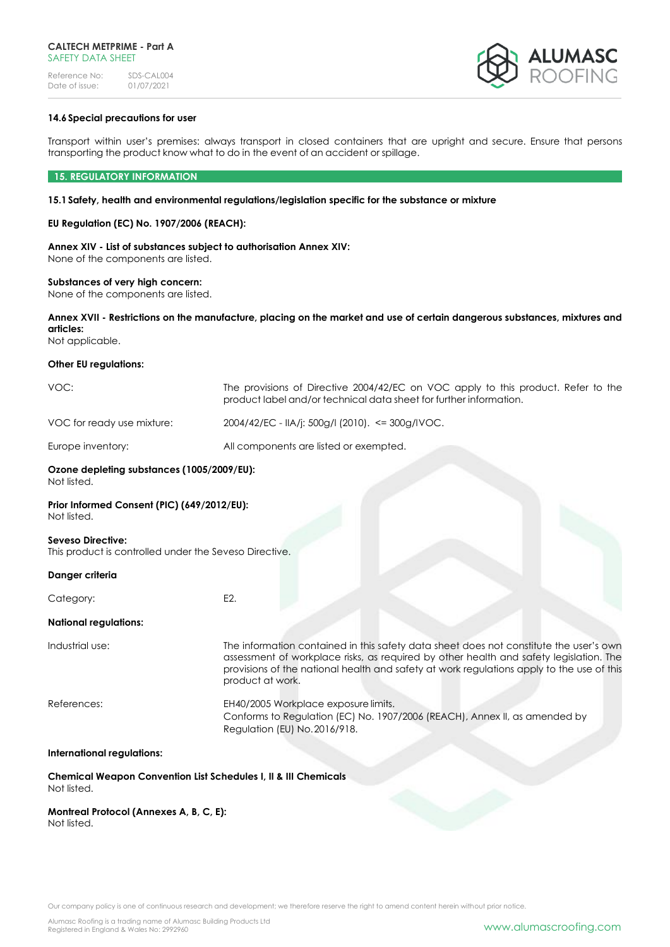Reference No: SDS-CAL004<br>Date of issue: 01/07/2021 Date of issue:



# **14.6Special precautions for user**

Transport within user's premises: always transport in closed containers that are upright and secure. Ensure that persons transporting the product know what to do in the event of an accident or spillage.

# **15. REGULATORY INFORMATION**

#### **15.1Safety, health and environmental regulations/legislation specific for the substance or mixture**

## **EU Regulation (EC) No. 1907/2006 (REACH):**

**Annex XIV - List of substances subject to authorisation Annex XIV:** None of the components are listed.

#### **Substances of very high concern:**

None of the components are listed.

**Annex XVII - Restrictions on the manufacture, placing on the market and use of certain dangerous substances, mixtures and articles:** 

Not applicable.

# **Other EU regulations:**

| VOC:                                                                               | The provisions of Directive 2004/42/EC on VOC apply to this product. Refer to the<br>product label and/or technical data sheet for further information.                                                                                                                                           |  |  |  |
|------------------------------------------------------------------------------------|---------------------------------------------------------------------------------------------------------------------------------------------------------------------------------------------------------------------------------------------------------------------------------------------------|--|--|--|
| VOC for ready use mixture:                                                         | 2004/42/EC - IIA/j: 500g/l (2010). <= 300g/lVOC.                                                                                                                                                                                                                                                  |  |  |  |
| Europe inventory:                                                                  | All components are listed or exempted.                                                                                                                                                                                                                                                            |  |  |  |
| Ozone depleting substances (1005/2009/EU):<br>Not listed.                          |                                                                                                                                                                                                                                                                                                   |  |  |  |
| Prior Informed Consent (PIC) (649/2012/EU):<br>Not listed.                         |                                                                                                                                                                                                                                                                                                   |  |  |  |
| <b>Seveso Directive:</b><br>This product is controlled under the Seveso Directive. |                                                                                                                                                                                                                                                                                                   |  |  |  |
| Danger criteria                                                                    |                                                                                                                                                                                                                                                                                                   |  |  |  |
| Category:                                                                          | E2.                                                                                                                                                                                                                                                                                               |  |  |  |
| <b>National regulations:</b>                                                       |                                                                                                                                                                                                                                                                                                   |  |  |  |
| Industrial use:                                                                    | The information contained in this safety data sheet does not constitute the user's own<br>assessment of workplace risks, as required by other health and safety legislation. The<br>provisions of the national health and safety at work regulations apply to the use of this<br>product at work. |  |  |  |
| References:                                                                        | EH40/2005 Workplace exposure limits.<br>Conforms to Regulation (EC) No. 1907/2006 (REACH), Annex II, as amended by<br>Regulation (EU) No. 2016/918.                                                                                                                                               |  |  |  |
| International regulations:                                                         |                                                                                                                                                                                                                                                                                                   |  |  |  |

**Chemical Weapon Convention List Schedules I, II & III Chemicals** Not listed.

# **Montreal Protocol (Annexes A, B, C, E):** Not listed.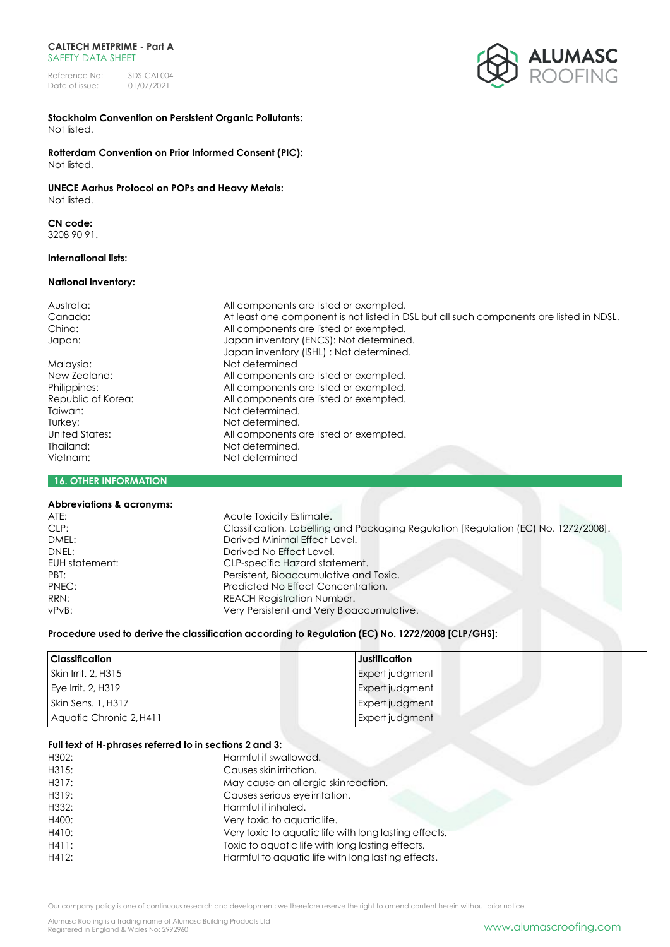Reference No: SDS-CAL004<br>Date of issue: 01/07/2021 Date of issue:



**Stockholm Convention on Persistent Organic Pollutants:** Not listed.

**Rotterdam Convention on Prior Informed Consent (PIC):** Not listed.

#### **UNECE Aarhus Protocol on POPs and Heavy Metals:** Not listed.

**CN code:**  3208 90 91.

## **International lists:**

# **National inventory:**

| Australia:         | All components are listed or exempted.                                                  |
|--------------------|-----------------------------------------------------------------------------------------|
| Canada:            | At least one component is not listed in DSL but all such components are listed in NDSL. |
| China:             | All components are listed or exempted.                                                  |
| Japan:             | Japan inventory (ENCS): Not determined.                                                 |
|                    | Japan inventory (ISHL) : Not determined.                                                |
| Malaysia:          | Not determined                                                                          |
| New Zealand:       | All components are listed or exempted.                                                  |
| Philippines:       | All components are listed or exempted.                                                  |
| Republic of Korea: | All components are listed or exempted.                                                  |
| Taiwan:            | Not determined.                                                                         |
| Turkey:            | Not determined.                                                                         |
| United States:     | All components are listed or exempted.                                                  |
| Thailand:          | Not determined.                                                                         |
| Vietnam:           | Not determined                                                                          |

# **16. OTHER INFORMATION**

## **Abbreviations & acronyms:**

| ATE:           | Acute Toxicity Estimate.                                                            |
|----------------|-------------------------------------------------------------------------------------|
| CLP:           | Classification, Labelling and Packaging Regulation [Regulation (EC) No. 1272/2008]. |
| DMEL:          | Derived Minimal Effect Level.                                                       |
| DNEL:          | Derived No Effect Level.                                                            |
| EUH statement: | <b>CLP-specific Hazard statement.</b>                                               |
| PBT:           | Persistent, Bioaccumulative and Toxic.                                              |
| PNEC:          | Predicted No Effect Concentration.                                                  |
| RRN:           | <b>REACH Registration Number.</b>                                                   |
| vPvB:          | Very Persistent and Very Bioaccumulative.                                           |
|                |                                                                                     |

# **Procedure used to derive the classification according to Regulation (EC) No. 1272/2008 [CLP/GHS]:**

| Classification          | Justification   |
|-------------------------|-----------------|
| Skin Irrit, 2, H315     | Expert judgment |
| $Eve$ Irrit. 2, H319    | Expert judgment |
| Skin Sens. 1, H317      | Expert judgment |
| Aquatic Chronic 2, H411 | Expert judgment |

#### **Full text of H-phrases referred to in sections 2 and 3:**

| H302: | Harmful if swallowed.                                 |
|-------|-------------------------------------------------------|
| H315: | Causes skin irritation.                               |
| H317: | May cause an allergic skinreaction.                   |
| H319: | Causes serious eyeirritation.                         |
| H332: | Harmful if inhaled.                                   |
| H400: | Very toxic to aquaticlife.                            |
| H410: | Very toxic to aquatic life with long lasting effects. |
| H411: | Toxic to aquatic life with long lasting effects.      |
| H412: | Harmful to aquatic life with long lasting effects.    |
|       |                                                       |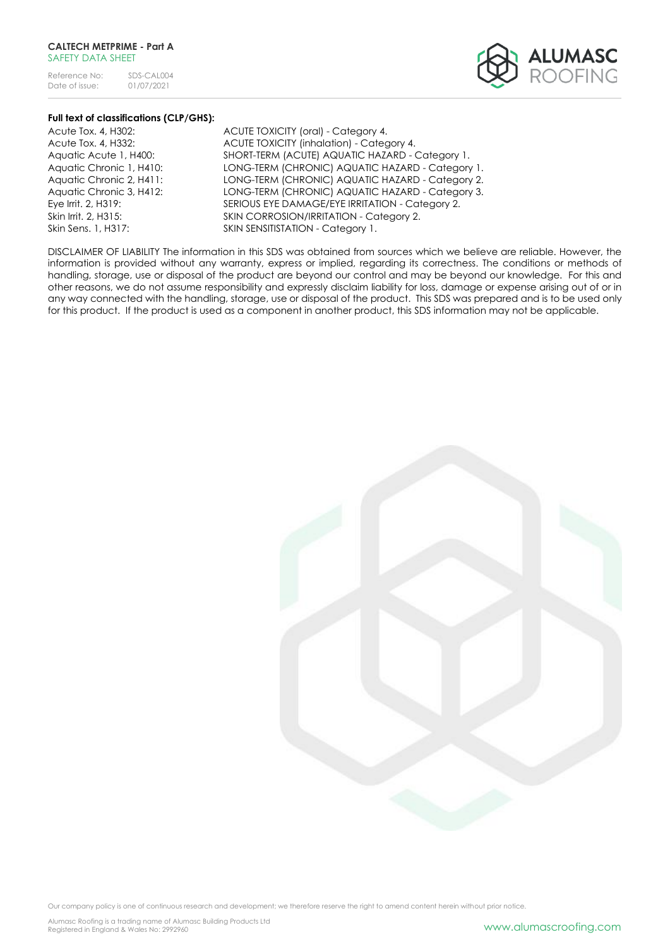Reference No: SDS-CAL004<br>Date of issue: 01/07/2021 Date of issue:



# **Full text of classifications (CLP/GHS):**

Acute Tox. 4, H302: ACUTE TOXICITY (oral) - Category 4. Acute Tox. 4, H332: ACUTE TOXICITY (inhalation) - Category 4. Aquatic Acute 1, H400: SHORT-TERM (ACUTE) AQUATIC HAZARD - Category 1. Aquatic Chronic 1, H410: LONG-TERM (CHRONIC) AQUATIC HAZARD - Category 1. Aquatic Chronic 2, H411: LONG-TERM (CHRONIC) AQUATIC HAZARD - Category 2. Aquatic Chronic 3, H412: LONG-TERM (CHRONIC) AQUATIC HAZARD - Category 3. Eye Irrit. 2, H319: SERIOUS EYE DAMAGE/EYE IRRITATION - Category 2. Skin Irrit. 2, H315: SKIN CORROSION/IRRITATION - Category 2. Skin Sens. 1, H317: SKIN SENSITISTATION - Category 1.

DISCLAIMER OF LIABILITY The information in this SDS was obtained from sources which we believe are reliable. However, the information is provided without any warranty, express or implied, regarding its correctness. The conditions or methods of handling, storage, use or disposal of the product are beyond our control and may be beyond our knowledge. For this and other reasons, we do not assume responsibility and expressly disclaim liability for loss, damage or expense arising out of or in any way connected with the handling, storage, use or disposal of the product. This SDS was prepared and is to be used only for this product. If the product is used as a component in another product, this SDS information may not be applicable.

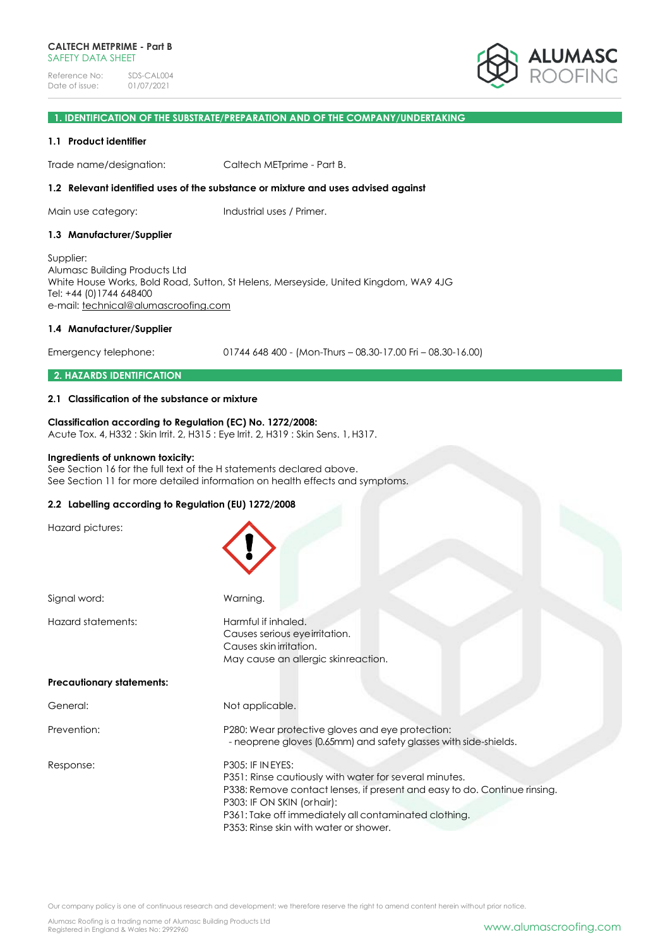

#### **1. IDENTIFICATION OF THE SUBSTRATE/PREPARATION AND OF THE COMPANY/UNDERTAKING**

#### **1.1 Product identifier**

Trade name/designation: Caltech METprime - Part B.

## **1.2 Relevant identified uses of the substance or mixture and uses advised against**

Main use category: Industrial uses / Primer.

#### **1.3 Manufacturer/Supplier**

Supplier: Alumasc Building Products Ltd White House Works, Bold Road, Sutton, St Helens, Merseyside, United Kingdom, WA9 4JG Tel: +44 (0)1744 648400 e-mail: [technical@alumascroofing.com](mailto:technical@alumascroofing.com)

# **1.4 Manufacturer/Supplier**

Emergency telephone: 01744 648 400 - (Mon-Thurs – 08.30-17.00 Fri – 08.30-16.00)

# **2. HAZARDS IDENTIFICATION**

# **2.1 Classification of the substance or mixture**

# **Classification according to Regulation (EC) No. 1272/2008:**

Acute Tox. 4, H332 : Skin Irrit. 2, H315 : Eye Irrit. 2, H319 : Skin Sens. 1, H317.

#### **Ingredients of unknown toxicity:**

See Section 16 for the full text of the H statements declared above. See Section 11 for more detailed information on health effects and symptoms.

## **2.2 Labelling according to Regulation (EU) 1272/2008**

| Signal word:                     | Warning.                                                                                                                                                                                                                                                                                          |
|----------------------------------|---------------------------------------------------------------------------------------------------------------------------------------------------------------------------------------------------------------------------------------------------------------------------------------------------|
| Hazard statements:               | Harmful if inhaled.<br>Causes serious eyeirritation.<br>Causes skin irritation.<br>May cause an allergic skinreaction.                                                                                                                                                                            |
| <b>Precautionary statements:</b> |                                                                                                                                                                                                                                                                                                   |
| General:                         | Not applicable.                                                                                                                                                                                                                                                                                   |
| Prevention:                      | P280: Wear protective gloves and eye protection:<br>- neoprene gloves (0.65mm) and safety glasses with side-shields.                                                                                                                                                                              |
| Response:                        | <b>P305: IF IN EYES:</b><br>P351: Rinse cautiously with water for several minutes.<br>P338: Remove contact lenses, if present and easy to do. Continue rinsing.<br>P303: IF ON SKIN (or hair):<br>P361: Take off immediately all contaminated clothing.<br>P353: Rinse skin with water or shower. |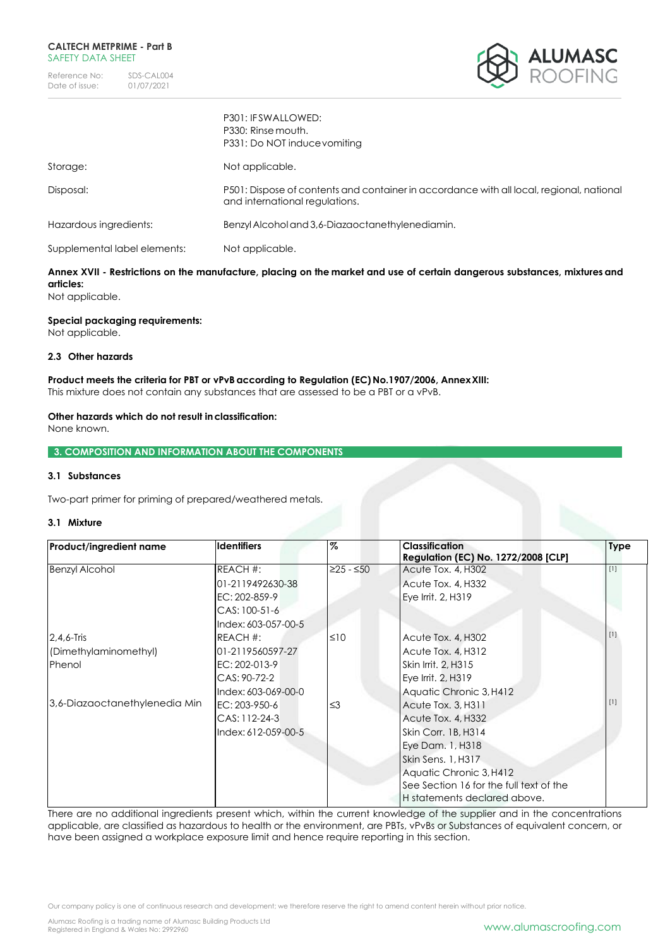

|                              | P301: IFSWALLOWED:<br>P330: Rinse mouth.<br>P331: Do NOT induce vomiting                                                   |
|------------------------------|----------------------------------------------------------------------------------------------------------------------------|
| Storage:                     | Not applicable.                                                                                                            |
| Disposal:                    | P501: Dispose of contents and container in accordance with all local, regional, national<br>and international regulations. |
| Hazardous ingredients:       | Benzyl Alcohol and 3,6-Diazaoctanethylenediamin.                                                                           |
| Supplemental label elements: | Not applicable.                                                                                                            |

# **Annex XVII - Restrictions on the manufacture, placing on the market and use of certain dangerous substances, mixtures and articles:**

Not applicable.

# **Special packaging requirements:**

Not applicable.

# **2.3 Other hazards**

**Product meets the criteria for PBT or vPvB according to Regulation (EC) No.1907/2006, AnnexXIII:** This mixture does not contain any substances that are assessed to be a PBT or a vPvB.

# **Other hazards which do not result inclassification:**

None known.

**3. COMPOSITION AND INFORMATION ABOUT THE COMPONENTS**

## **3.1 Substances**

Two-part primer for priming of prepared/weathered metals.

## **3.1 Mixture**

| <b>Product/ingredient name</b> | <b>Identifiers</b>  | $\%$        | Classification<br><b>Regulation (EC) No. 1272/2008 [CLP]</b> | <b>Type</b> |
|--------------------------------|---------------------|-------------|--------------------------------------------------------------|-------------|
| <b>Benzyl Alcohol</b>          | REACH #:            | $≥25 - ≤50$ | Acute Tox. 4, H302                                           | $[1]$       |
|                                | 01-2119492630-38    |             | Acute Tox. 4, H332                                           |             |
|                                | EC: 202-859-9       |             | Eye Irrit. 2, H319                                           |             |
|                                | CAS: 100-51-6       |             |                                                              |             |
|                                | Index: 603-057-00-5 |             |                                                              |             |
| $2,4,6$ -Tris                  | $REACH$ #:          | $\leq 10$   | Acute Tox. 4, H302                                           |             |
| (Dimethylaminomethyl)          | 01-2119560597-27    |             | Acute Tox. 4, H312                                           |             |
| Phenol                         | EC: 202-013-9       |             | Skin Irrit. 2, H315                                          |             |
|                                | CAS: 90-72-2        |             | Eye Irrit. 2, H319                                           |             |
|                                | Index: 603-069-00-0 |             | Aquatic Chronic 3, H412                                      |             |
| 3,6-Diazaoctanethylenedia Min  | EC: 203-950-6       | ≤3          | Acute Tox. 3, H311                                           | $[1]$       |
|                                | CAS: 112-24-3       |             | Acute Tox. 4, H332                                           |             |
|                                | Index: 612-059-00-5 |             | Skin Corr. 1B, H314                                          |             |
|                                |                     |             | Eye Dam. 1, H318                                             |             |
|                                |                     |             | Skin Sens. 1, H317                                           |             |
|                                |                     |             | Aquatic Chronic 3, H412                                      |             |
|                                |                     |             | See Section 16 for the full text of the                      |             |
|                                |                     |             | H statements declared above.                                 |             |

There are no additional ingredients present which, within the current knowledge of the supplier and in the concentrations applicable, are classified as hazardous to health or the environment, are PBTs, vPvBs or Substances of equivalent concern, or have been assigned a workplace exposure limit and hence require reporting in this section.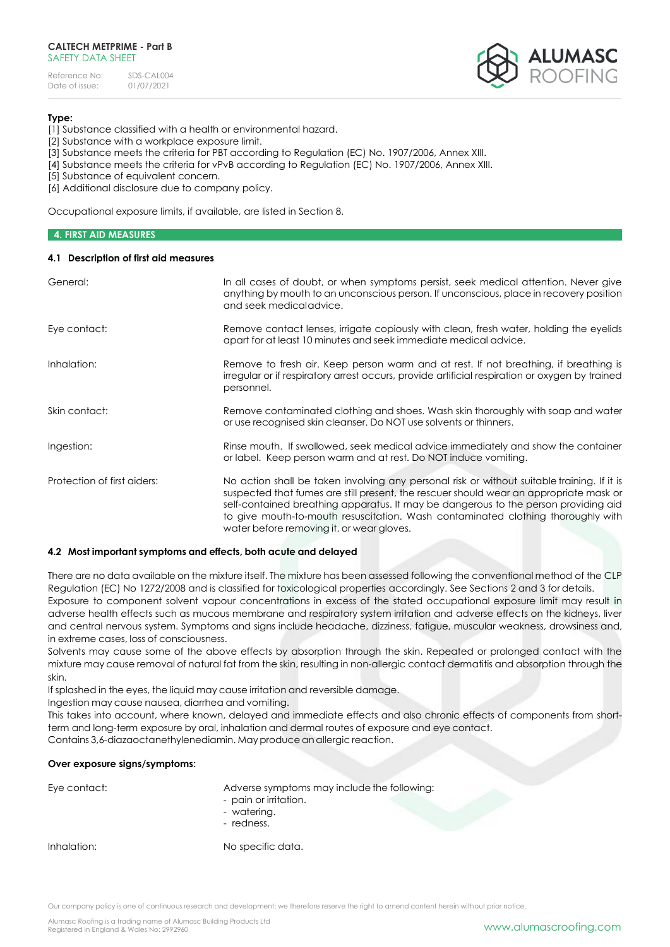Reference No: SDS-CAL004<br>Date of issue: 01/07/2021 Date of issue:



## **Type:**

[1] Substance classified with a health or environmental hazard.

- [2] Substance with a workplace exposure limit.
- [3] Substance meets the criteria for PBT according to Regulation (EC) No. 1907/2006, Annex XIII.
- [4] Substance meets the criteria for vPvB according to Regulation (EC) No. 1907/2006, Annex XIII.

[5] Substance of equivalent concern.

[6] Additional disclosure due to company policy.

Occupational exposure limits, if available, are listed in Section 8.

# **4. FIRST AID MEASURES**

## **4.1 Description of first aid measures**

| General:                    | In all cases of doubt, or when symptoms persist, seek medical attention. Never give<br>anything by mouth to an unconscious person. If unconscious, place in recovery position<br>and seek medicaladvice.                                                                                                                                                                                                      |
|-----------------------------|---------------------------------------------------------------------------------------------------------------------------------------------------------------------------------------------------------------------------------------------------------------------------------------------------------------------------------------------------------------------------------------------------------------|
| Eye contact:                | Remove contact lenses, irrigate copiously with clean, fresh water, holding the eyelids<br>apart for at least 10 minutes and seek immediate medical advice.                                                                                                                                                                                                                                                    |
| Inhalation:                 | Remove to fresh air. Keep person warm and at rest. If not breathing, if breathing is<br>irregular or if respiratory arrest occurs, provide artificial respiration or oxygen by trained<br>personnel.                                                                                                                                                                                                          |
| Skin contact:               | Remove contaminated clothing and shoes. Wash skin thoroughly with soap and water<br>or use recognised skin cleanser. Do NOT use solvents or thinners.                                                                                                                                                                                                                                                         |
| Ingestion:                  | Rinse mouth. If swallowed, seek medical advice immediately and show the container<br>or label. Keep person warm and at rest. Do NOT induce vomiting.                                                                                                                                                                                                                                                          |
| Protection of first aiders: | No action shall be taken involving any personal risk or without suitable training. If it is<br>suspected that fumes are still present, the rescuer should wear an appropriate mask or<br>self-contained breathing apparatus. It may be dangerous to the person providing aid<br>to give mouth-to-mouth resuscitation. Wash contaminated clothing thoroughly with<br>water before removing it, or wear gloves. |

## **4.2 Most important symptoms and effects, both acute and delayed**

There are no data available on the mixture itself. The mixture has been assessed following the conventional method of the CLP Regulation (EC) No 1272/2008 and is classified for toxicological properties accordingly. See Sections 2 and 3 for details. Exposure to component solvent vapour concentrations in excess of the stated occupational exposure limit may result in adverse health effects such as mucous membrane and respiratory system irritation and adverse effects on the kidneys, liver and central nervous system. Symptoms and signs include headache, dizziness, fatigue, muscular weakness, drowsiness and, in extreme cases, loss of consciousness.

Solvents may cause some of the above effects by absorption through the skin. Repeated or prolonged contact with the mixture may cause removal of natural fat from the skin, resulting in non-allergic contact dermatitis and absorption through the skin.

If splashed in the eyes, the liquid may cause irritation and reversible damage.

Ingestion may cause nausea, diarrhea and vomiting.

This takes into account, where known, delayed and immediate effects and also chronic effects of components from shortterm and long-term exposure by oral, inhalation and dermal routes of exposure and eye contact. Contains 3,6-diazaoctanethylenediamin. Mayproduce anallergic reaction.

## **Over exposure signs/symptoms:**

Eye contact: Adverse symptoms may include the following:

- pain or irritation.
- watering.
- redness.

Inhalation: No specific data.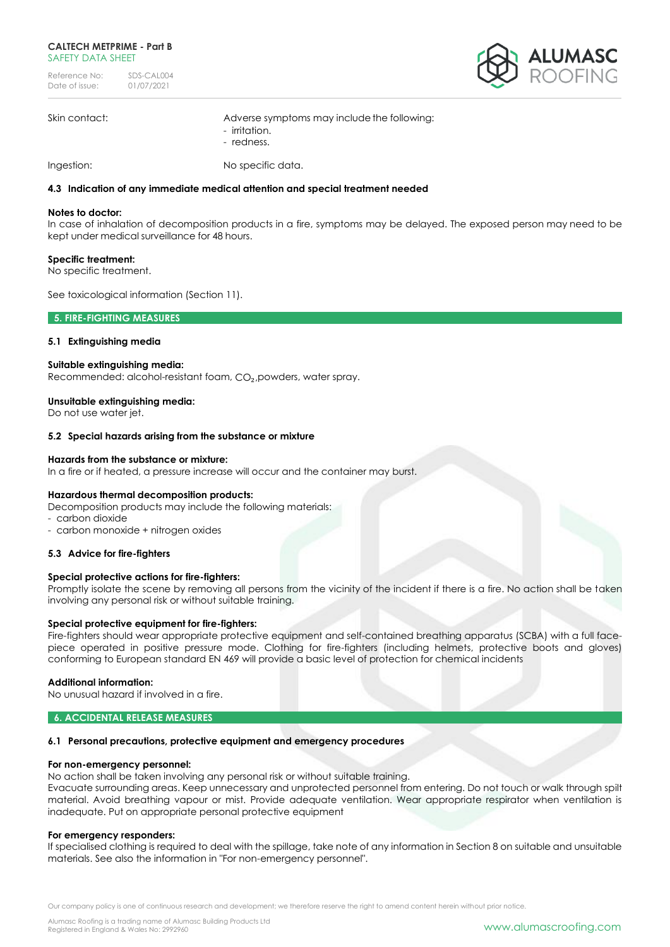Reference No: SDS-CAL004<br>Date of issue: 01/07/2021 Date of issue:



Skin contact:  $\blacksquare$  Adverse symptoms may include the following: - irritation. - redness.

Ingestion: No specific data.

# **4.3 Indication of any immediate medical attention and special treatment needed**

## **Notes to doctor:**

In case of inhalation of decomposition products in a fire, symptoms may be delayed. The exposed person may need to be kept under medical surveillance for 48 hours.

## **Specific treatment:**

No specific treatment.

See toxicological information (Section 11).

#### **5. FIRE-FIGHTING MEASURES**

## **5.1 Extinguishing media**

## **Suitable extinguishing media:**

Recommended: alcohol-resistant foam, CO<sub>2</sub>, powders, water spray.

## **Unsuitable extinguishing media:**

Do not use water jet.

#### **5.2 Special hazards arising from the substance or mixture**

#### **Hazards from the substance or mixture:**

In a fire or if heated, a pressure increase will occur and the container may burst.

## **Hazardous thermal decomposition products:**

Decomposition products may include the following materials:

- carbon dioxide
- carbon monoxide + nitrogen oxides

## **5.3 Advice for fire-fighters**

## **Special protective actions for fire-fighters:**

Promptly isolate the scene by removing all persons from the vicinity of the incident if there is a fire. No action shall be taken involving any personal risk or without suitable training.

## **Special protective equipment for fire-fighters:**

Fire-fighters should wear appropriate protective equipment and self-contained breathing apparatus (SCBA) with a full facepiece operated in positive pressure mode. Clothing for fire-fighters (including helmets, protective boots and gloves) conforming to European standard EN 469 will provide a basic level of protection for chemical incidents

## **Additional information:**

No unusual hazard if involved in a fire.

## **6. ACCIDENTAL RELEASE MEASURES**

## **6.1 Personal precautions, protective equipment and emergency procedures**

#### **For non-emergency personnel:**

No action shall be taken involving any personal risk or without suitable training.

Evacuate surrounding areas. Keep unnecessary and unprotected personnel from entering. Do not touch or walk through spilt material. Avoid breathing vapour or mist. Provide adequate ventilation. Wear appropriate respirator when ventilation is inadequate. Put on appropriate personal protective equipment

## **For emergency responders:**

If specialised clothing is required to deal with the spillage, take note of any information in Section 8 on suitable and unsuitable materials. See also the information in "For non-emergency personnel".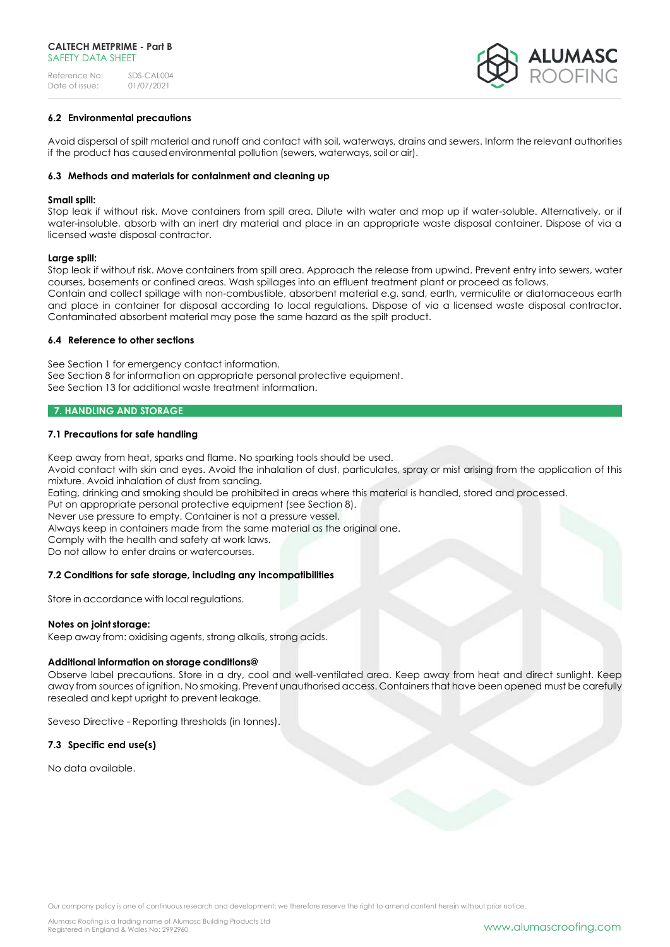

# **6.2 Environmental precautions**

Avoid dispersal of spilt material and runoff and contact with soil, waterways, drains and sewers. Inform the relevant authorities if the product has causedenvironmental pollution (sewers, waterways, soil or air).

## **6.3 Methods and materials for containment and cleaning up**

## **Small spill:**

Stop leak if without risk. Move containers from spill area. Dilute with water and mop up if water-soluble. Alternatively, or if water-insoluble, absorb with an inert dry material and place in an appropriate waste disposal container. Dispose of via a licensed waste disposal contractor.

#### **Large spill:**

Stop leak if without risk. Move containers from spill area. Approach the release from upwind. Prevent entry into sewers, water courses, basements or confined areas. Wash spillages into an effluent treatment plant or proceed as follows.

Contain and collect spillage with non-combustible, absorbent material e.g. sand, earth, vermiculite or diatomaceous earth and place in container for disposal according to local regulations. Dispose of via a licensed waste disposal contractor. Contaminated absorbent material may pose the same hazard as the spilt product.

## **6.4 Reference to other sections**

See Section 1 for emergency contact information. See Section 8 for information on appropriate personal protective equipment. See Section 13 for additional waste treatment information.

# **7. HANDLING AND STORAGE**

## **7.1 Precautions for safe handling**

Keep away from heat, sparks and flame. No sparking tools should be used.

Avoid contact with skin and eyes. Avoid the inhalation of dust, particulates, spray or mist arising from the application of this mixture. Avoid inhalation of dust from sanding.

Eating, drinking and smoking should be prohibited in areas where this material is handled, stored and processed.

Put on appropriate personal protective equipment (see Section 8).

Never use pressure to empty. Container is not a pressure vessel.

Always keep in containers made from the same material as the original one.

Comply with the health and safety at work laws.

Do not allow to enter drains or watercourses.

## **7.2 Conditions for safe storage, including any incompatibilities**

Store in accordance with local regulations.

## **Notes on joint storage:**

Keep away from: oxidising agents, strong alkalis, strong acids.

## **Additional information on storage conditions@**

Observe label precautions. Store in a dry, cool and well-ventilated area. Keep away from heat and direct sunlight. Keep away from sources of ignition. No smoking. Prevent unauthorised access. Containers that have been opened must be carefully resealed and kept upright to prevent leakage.

Seveso Directive - Reporting thresholds (in tonnes).

## **7.3 Specific end use(s)**

No data available.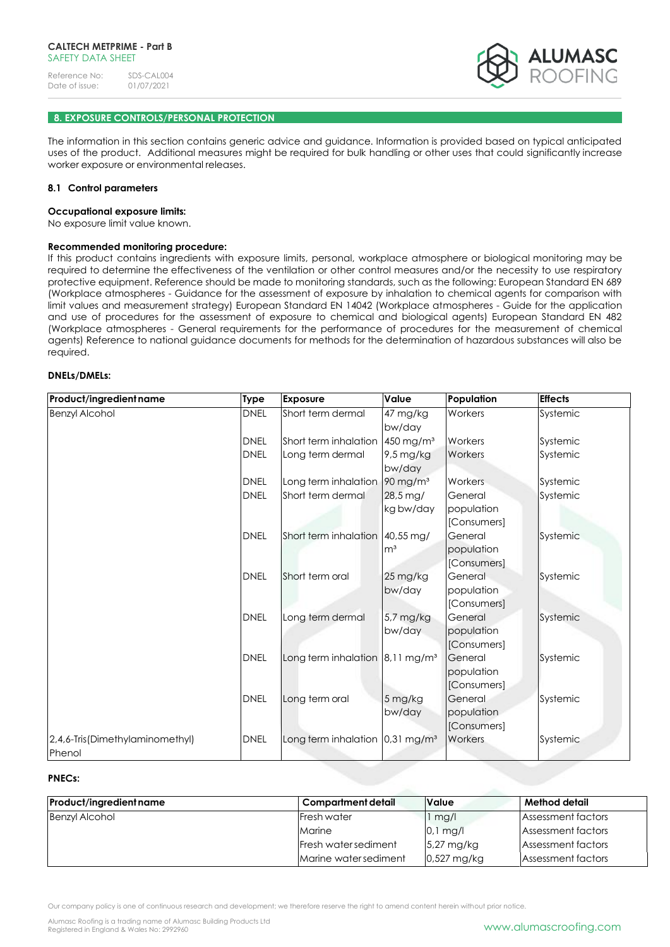

# **8. EXPOSURE CONTROLS/PERSONAL PROTECTION**

The information in this section contains generic advice and guidance. Information is provided based on typical anticipated uses of the product. Additional measures might be required for bulk handling or other uses that could significantly increase worker exposure or environmental releases.

#### **8.1 Control parameters**

#### **Occupational exposure limits:**

No exposure limit value known.

#### **Recommended monitoring procedure:**

If this product contains ingredients with exposure limits, personal, workplace atmosphere or biological monitoring may be required to determine the effectiveness of the ventilation or other control measures and/or the necessity to use respiratory protective equipment. Reference should be made to monitoring standards, such as the following: European Standard EN 689 (Workplace atmospheres - Guidance for the assessment of exposure by inhalation to chemical agents for comparison with limit values and measurement strategy) European Standard EN 14042 (Workplace atmospheres - Guide for the application and use of procedures for the assessment of exposure to chemical and biological agents) European Standard EN 482 (Workplace atmospheres - General requirements for the performance of procedures for the measurement of chemical agents) Reference to national guidance documents for methods for the determination of hazardous substances will also be required.

# **DNELs/DMELs:**

| Product/ingredient name         | <b>Type</b> | <b>Exposure</b>                                              | Value                  | Population  | <b>Effects</b> |
|---------------------------------|-------------|--------------------------------------------------------------|------------------------|-------------|----------------|
| <b>Benzyl Alcohol</b>           | <b>DNEL</b> | Short term dermal                                            | 47 mg/kg               | Workers     | Systemic       |
|                                 |             |                                                              | bw/day                 |             |                |
|                                 | <b>DNEL</b> | Short term inhalation                                        | 450 mg/m <sup>3</sup>  | Workers     | Systemic       |
|                                 | <b>DNEL</b> | Long term dermal                                             | $9.5 \,\mathrm{mg/kg}$ | Workers     | Systemic       |
|                                 |             |                                                              | bw/day                 |             |                |
|                                 | <b>DNEL</b> | Long term inhalation                                         | $90 \text{ mg/m}^3$    | Workers     | Systemic       |
|                                 | <b>DNEL</b> | Short term dermal                                            | 28,5 mg/               | General     | Systemic       |
|                                 |             |                                                              | kg bw/day              | population  |                |
|                                 |             |                                                              |                        | [Consumers] |                |
|                                 | <b>DNEL</b> | Short term inhalation                                        | $ 40,55 \text{ mg}/$   | General     | Systemic       |
|                                 |             |                                                              | m <sup>3</sup>         | population  |                |
|                                 |             |                                                              |                        | [Consumers] |                |
|                                 | <b>DNEL</b> | Short term oral                                              | 25 mg/kg               | General     | Systemic       |
|                                 |             |                                                              | bw/day                 | population  |                |
|                                 |             |                                                              |                        | [Consumers] |                |
|                                 | <b>DNEL</b> | Long term dermal                                             | 5,7 mg/kg              | General     | Systemic       |
|                                 |             |                                                              | bw/day                 | population  |                |
|                                 |             |                                                              |                        | [Consumers] |                |
|                                 | <b>DNEL</b> | Long term inhalation $\left  8,11 \right $ mg/m <sup>3</sup> |                        | General     | Systemic       |
|                                 |             |                                                              |                        | population  |                |
|                                 |             |                                                              |                        | [Consumers] |                |
|                                 | <b>DNEL</b> | Long term oral                                               | 5 mg/kg                | General     | Systemic       |
|                                 |             |                                                              | bw/day                 | population  |                |
|                                 |             |                                                              |                        | [Consumers] |                |
| 2,4,6-Tris(Dimethylaminomethyl) | <b>DNEL</b> | Long term inhalation 0,31 mg/m <sup>3</sup>                  |                        | Workers     | Systemic       |
| Phenol                          |             |                                                              |                        |             |                |

## **PNECs:**

| <b>Product/ingredient name</b> | Compartment detail           | <b>Value</b>            | Method detail      |
|--------------------------------|------------------------------|-------------------------|--------------------|
| <b>Benzyl Alcohol</b>          | <b>IFresh water</b>          | $1$ mg/l                | Assessment factors |
|                                | Marine                       | $0.1$ mg/l              | Assessment factors |
|                                | <b>IFresh water sediment</b> | $5,27 \,\mathrm{mg/kg}$ | Assessment factors |
|                                | Marine water sediment        | 0,527 mg/kg             | Assessment factors |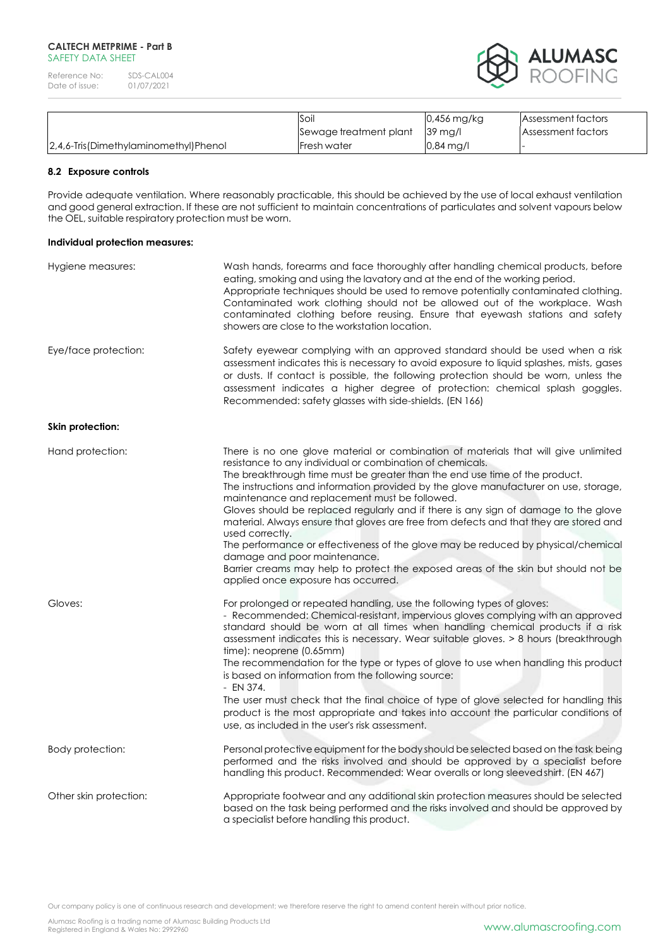

|                                       | Soil                   | $0.456$ mg/kg           | Assessment factors        |
|---------------------------------------|------------------------|-------------------------|---------------------------|
|                                       | Sewage treatment plant | $\vert 39 \rangle$ ma/l | <b>Assessment factors</b> |
| 2,4,6-Tris(Dimethylaminomethyl)Phenol | <b>Fresh water</b>     | $0.84 \,\mathrm{mg/l}$  |                           |

# **8.2 Exposure controls**

Provide adequate ventilation. Where reasonably practicable, this should be achieved by the use of local exhaust ventilation and good general extraction. If these are not sufficient to maintain concentrations of particulates and solvent vapours below the OEL, suitable respiratory protection must be worn.

#### **Individual protection measures:**

| Hygiene measures:      | Wash hands, forearms and face thoroughly after handling chemical products, before<br>eating, smoking and using the lavatory and at the end of the working period.<br>Appropriate techniques should be used to remove potentially contaminated clothing.<br>Contaminated work clothing should not be allowed out of the workplace. Wash<br>contaminated clothing before reusing. Ensure that eyewash stations and safety<br>showers are close to the workstation location.                                                                                                                                                                                                                                                                                                                                                      |
|------------------------|--------------------------------------------------------------------------------------------------------------------------------------------------------------------------------------------------------------------------------------------------------------------------------------------------------------------------------------------------------------------------------------------------------------------------------------------------------------------------------------------------------------------------------------------------------------------------------------------------------------------------------------------------------------------------------------------------------------------------------------------------------------------------------------------------------------------------------|
| Eye/face protection:   | Safety eyewear complying with an approved standard should be used when a risk<br>assessment indicates this is necessary to avoid exposure to liquid splashes, mists, gases<br>or dusts. If contact is possible, the following protection should be worn, unless the<br>assessment indicates a higher degree of protection: chemical splash goggles.<br>Recommended: safety glasses with side-shields. (EN 166)                                                                                                                                                                                                                                                                                                                                                                                                                 |
| Skin protection:       |                                                                                                                                                                                                                                                                                                                                                                                                                                                                                                                                                                                                                                                                                                                                                                                                                                |
| Hand protection:       | There is no one glove material or combination of materials that will give unlimited<br>resistance to any individual or combination of chemicals.<br>The breakthrough time must be greater than the end use time of the product.<br>The instructions and information provided by the glove manufacturer on use, storage,<br>maintenance and replacement must be followed.<br>Gloves should be replaced regularly and if there is any sign of damage to the glove<br>material. Always ensure that gloves are free from defects and that they are stored and<br>used correctly.<br>The performance or effectiveness of the glove may be reduced by physical/chemical<br>damage and poor maintenance.<br>Barrier creams may help to protect the exposed areas of the skin but should not be<br>applied once exposure has occurred. |
| Gloves:                | For prolonged or repeated handling, use the following types of gloves:<br>- Recommended: Chemical-resistant, impervious gloves complying with an approved<br>standard should be worn at all times when handling chemical products if a risk<br>assessment indicates this is necessary. Wear suitable gloves. > 8 hours (breakthrough<br>$time$ : neoprene $(0.65mm)$<br>The recommendation for the type or types of glove to use when handling this product<br>is based on information from the following source:<br>$-$ EN 374.<br>The user must check that the final choice of type of glove selected for handling this<br>product is the most appropriate and takes into account the particular conditions of<br>use, as included in the user's risk assessment.                                                            |
| Body protection:       | Personal protective equipment for the body should be selected based on the task being<br>performed and the risks involved and should be approved by a specialist before<br>handling this product. Recommended: Wear overalls or long sleeved shirt. (EN 467)                                                                                                                                                                                                                                                                                                                                                                                                                                                                                                                                                                   |
| Other skin protection: | Appropriate footwear and any additional skin protection measures should be selected<br>based on the task being performed and the risks involved and should be approved by<br>a specialist before handling this product.                                                                                                                                                                                                                                                                                                                                                                                                                                                                                                                                                                                                        |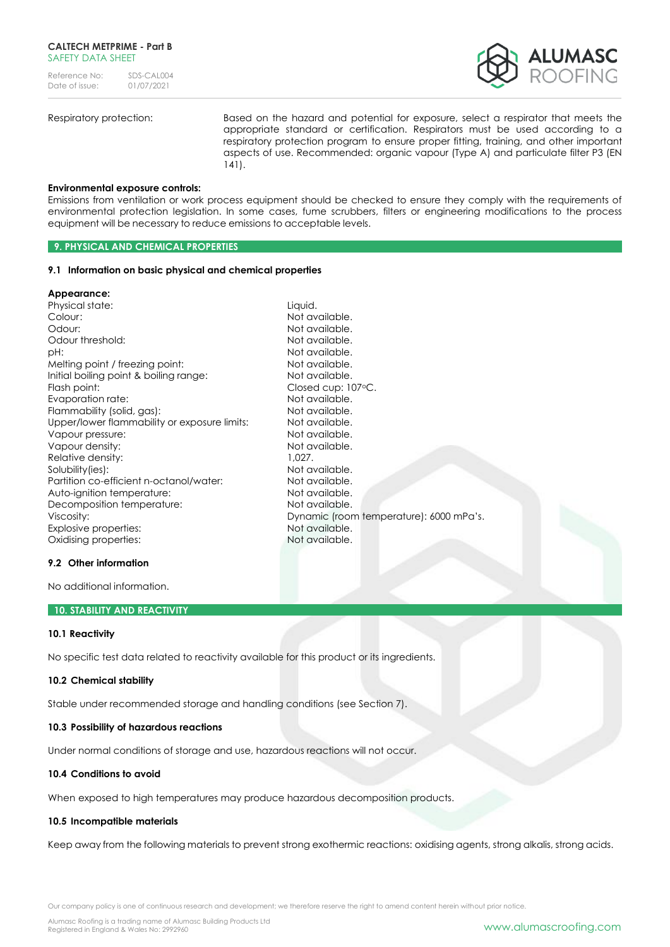

Respiratory protection: Based on the hazard and potential for exposure, select a respirator that meets the appropriate standard or certification. Respirators must be used according to a respiratory protection program to ensure proper fitting, training, and other important aspects of use. Recommended: organic vapour (Type A) and particulate filter P3 (EN 141).

#### **Environmental exposure controls:**

Emissions from ventilation or work process equipment should be checked to ensure they comply with the requirements of environmental protection legislation. In some cases, fume scrubbers, filters or engineering modifications to the process equipment will be necessary to reduce emissions to acceptable levels.

#### **9. PHYSICAL AND CHEMICAL PROPERTIES**

#### **9.1 Information on basic physical and chemical properties**

#### **Appearance:**

| Physical state:                              | Liquid.                                 |
|----------------------------------------------|-----------------------------------------|
| Colour:                                      | Not available.                          |
| Odour:                                       | Not available.                          |
| Odour threshold:                             | Not available.                          |
| pH:                                          | Not available.                          |
| Melting point / freezing point:              | Not available.                          |
| Initial boiling point & boiling range:       | Not available.                          |
| Flash point:                                 | Closed cup: 107 °C.                     |
| Evaporation rate:                            | Not available.                          |
| Flammability (solid, gas):                   | Not available.                          |
| Upper/lower flammability or exposure limits: | Not available.                          |
| Vapour pressure:                             | Not available.                          |
| Vapour density:                              | Not available.                          |
| Relative density:                            | 1.027.                                  |
| Solubility (ies):                            | Not available.                          |
| Partition co-efficient n-octanol/water:      | Not available.                          |
| Auto-ignition temperature:                   | Not available.                          |
| Decomposition temperature:                   | Not available.                          |
| Viscosity:                                   | Dynamic (room temperature): 6000 mPa's. |
| Explosive properties:                        | Not available.                          |
| Oxidising properties:                        | Not available.                          |
|                                              |                                         |

# **9.2 Other information**

No additional information.

#### **10. STABILITY AND REACTIVITY**

#### **10.1 Reactivity**

No specific test data related to reactivity available for this product or its ingredients.

#### **10.2 Chemical stability**

Stable under recommended storage and handling conditions (see Section 7).

## **10.3 Possibility of hazardous reactions**

Under normal conditions of storage and use, hazardous reactions will not occur.

#### **10.4 Conditions to avoid**

When exposed to high temperatures may produce hazardous decomposition products.

## **10.5 Incompatible materials**

Keep away from the following materials to prevent strong exothermic reactions: oxidising agents, strong alkalis, strong acids.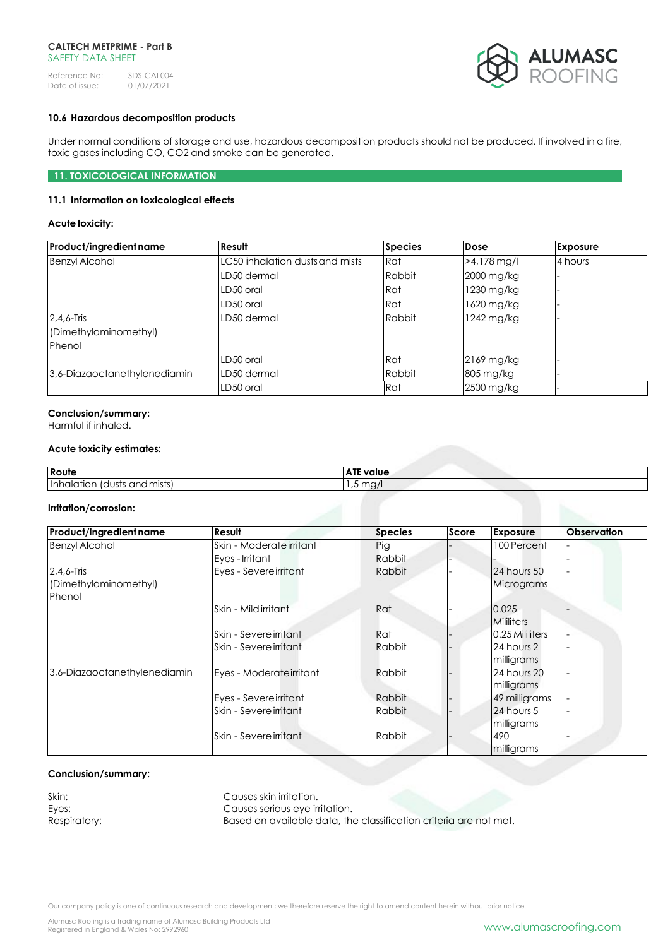Reference No: SDS-CAL004<br>Date of issue: 01/07/2021 Date of issue:



# **10.6 Hazardous decomposition products**

Under normal conditions of storage and use, hazardous decomposition products should not be produced. If involved in a fire, toxic gases including CO, CO2 and smoke can be generated.

## **11. TOXICOLOGICAL INFORMATION**

## **11.1 Information on toxicological effects**

# **Acute toxicity:**

| Product/ingredient name      | Result                          | <b>Species</b> | Dose          | <b>Exposure</b> |
|------------------------------|---------------------------------|----------------|---------------|-----------------|
| <b>Benzyl Alcohol</b>        | LC50 inhalation dusts and mists | Rat            | $>4.178$ mg/l | 4 hours         |
|                              | LD50 dermal                     | Rabbit         | 2000 mg/kg    |                 |
|                              | LD50 oral                       | Rat            | 1230 mg/kg    |                 |
|                              | LD50 oral                       | Rat            | 1620 mg/kg    |                 |
| $2,4,6$ -Tris                | LD50 dermal                     | Rabbit         | 1242 mg/kg    |                 |
| (Dimethylaminomethyl)        |                                 |                |               |                 |
| Phenol                       |                                 |                |               |                 |
|                              | LD50 oral                       | Rat            | 2169 mg/kg    |                 |
| 3,6-Diazaoctanethylenediamin | LD50 dermal                     | Rabbit         | 805 mg/kg     |                 |
|                              | LD50 oral                       | Rat            | 2500 mg/kg    |                 |

# **Conclusion/summary:**

Harmful if inhaled.

# **Acute toxicity estimates:**

| Route                                                    | .<br><b>value</b><br>___     |
|----------------------------------------------------------|------------------------------|
| <br>' mists.<br>Idusts and<br>Unhala.<br><b>HOL</b><br>. | $\prime$<br>$\sim$<br>Q<br>◡ |

# **Irritation/corrosion:**

| Product/ingredient name      | Result                   | <b>Species</b> | Score | Exposure          | <b>Observation</b> |
|------------------------------|--------------------------|----------------|-------|-------------------|--------------------|
| <b>Benzyl Alcohol</b>        | Skin - Moderate irritant | Pig            |       | 100 Percent       |                    |
|                              | Eyes - Irritant          | <b>Rabbit</b>  |       |                   |                    |
| $2,4,6$ -Tris                | Eyes - Severe irritant   | <b>Rabbit</b>  |       | 24 hours 50       |                    |
| (Dimethylaminomethyl)        |                          |                |       | Micrograms        |                    |
| Phenol                       |                          |                |       |                   |                    |
|                              | Skin - Mildirritant      | Rat            |       | 0.025             |                    |
|                              |                          |                |       | <b>Mililiters</b> |                    |
|                              | Skin - Severe irritant   | Rat            |       | 0.25 Mililiters   |                    |
|                              | Skin - Severe irritant   | <b>Rabbit</b>  |       | 24 hours 2        |                    |
|                              |                          |                |       | milligrams        |                    |
| 3,6-Diazaoctanethylenediamin | Eyes - Moderateirritant  | Rabbit         |       | 24 hours 20       |                    |
|                              |                          |                |       | milligrams        |                    |
|                              | Eyes - Severeirritant    | <b>Rabbit</b>  |       | 49 milligrams     |                    |
|                              | Skin - Severe irritant   | <b>Rabbit</b>  |       | 24 hours 5        |                    |
|                              |                          |                |       | milligrams        |                    |
|                              | Skin - Severe irritant   | Rabbit         |       | 490               |                    |
|                              |                          |                |       | milligrams        |                    |

# **Conclusion/summary:**

Skin: Causes skin irritation. Eyes: Eyes: Eyes: Eyes: Eyes: Eyes: Eyes: Eyes: Eyes: Eyes: Eyes: Eyes: Eyes: Eyes: Eyes: Eyes: Eyes: Eyes: Eyes: Eyes: Eyes: Eyes: Eyes: Eyes: Eyes: Eyes: Eyes: Eyes: Eyes: Eyes: Eyes: Eyes: Eyes: Eyes: Eyes: Eyes: Eyes:

Respiratory: Based on available data, the classification criteria are not met.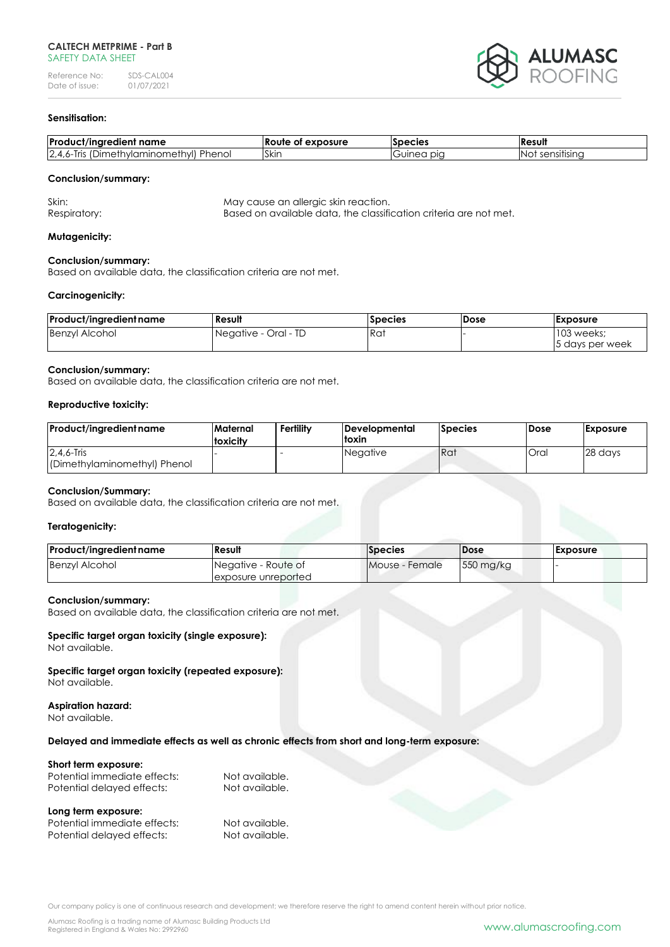| Reference No:  | SDS-CAL004 |
|----------------|------------|
| Date of issue: | 01/07/2021 |



# **Sensitisation:**

| <b>Pro</b><br>t name<br>∙ale ≀                                                                       | exposure<br>ОТ<br>νυτε.<br>м | decies<br>1 J L              | Result                  |
|------------------------------------------------------------------------------------------------------|------------------------------|------------------------------|-------------------------|
| Phenoi<br>$\overline{2}$<br>omathvl<br>Iric<br>$- + -$<br>10000000<br>mال.<br>юл<br>10 I<br>пен<br>. | <b>Skin</b>                  | DIC<br>$\Omega$<br>UΠ<br>IU. | .<br>sensitisina<br>'NC |

## **Conclusion/summary:**

Skin: Skin: May cause an allergic skin reaction. Respiratory: Based on available data, the classification criteria are not met.

#### **Mutagenicity:**

#### **Conclusion/summary:**

Based on available data, the classification criteria are not met.

#### **Carcinogenicity:**

| Product/ingredient name | Result               | <b>Species</b> | Dose | <b>Exposure</b>  |
|-------------------------|----------------------|----------------|------|------------------|
| <b>Benzyl Alcohol</b>   | Negative - Oral - TD | Rat            |      | 103 weeks:       |
|                         |                      |                |      | 15 days per week |

#### **Conclusion/summary:**

Based on available data, the classification criteria are not met.

#### **Reproductive toxicity:**

| Product/ingredient name                       | Maternal<br><b>Itoxicity</b> | Fertility | <b>IDevelopmental</b><br>ltoxin | <b>Species</b> | Dose | <b>Exposure</b> |
|-----------------------------------------------|------------------------------|-----------|---------------------------------|----------------|------|-----------------|
| $2,4,6$ -Tris<br>(Dimethylaminomethyl) Phenol |                              |           | Negative                        | <b>Rat</b>     | Oral | 28 days         |

## **Conclusion/Summary:**

Based on available data, the classification criteria are not met.

## **Teratogenicity:**

| Product/ingredient name | Result               | <b>Species</b>                | <b>Dose</b> | <b>Exposure</b> |
|-------------------------|----------------------|-------------------------------|-------------|-----------------|
| <b>Benzyl Alcohol</b>   | Negative - Route of  | <i><b>IMouse - Female</b></i> | 550 mg/kg   |                 |
|                         | lexposure unreported |                               |             |                 |

#### **Conclusion/summary:**

Based on available data, the classification criteria are not met.

# **Specific target organ toxicity (single exposure):**

Not available.

#### **Specific target organ toxicity (repeated exposure):** Not available.

#### **Aspiration hazard:**

Not available.

## **Delayed and immediate effects as well as chronic effects from short and long-term exposure:**

# **Short term exposure:**

| Potential immediate effects: | Not available. |
|------------------------------|----------------|
| Potential delayed effects:   | Not available. |

#### **Long term exposure:**

| Potential immediate effects: | Not available. |
|------------------------------|----------------|
| Potential delayed effects:   | Not available. |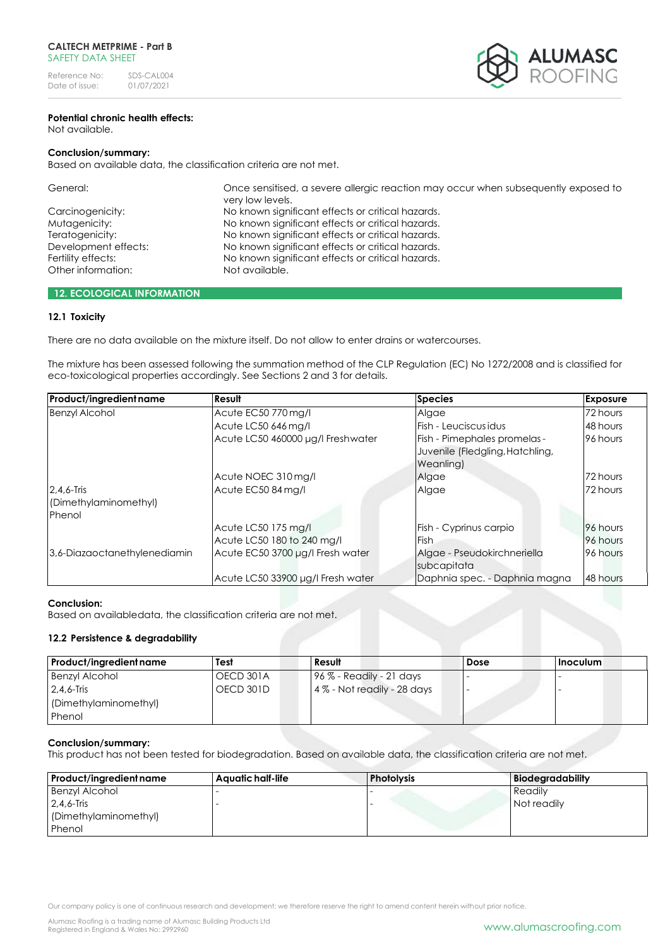

#### **Potential chronic health effects:** Not available.

#### **Conclusion/summary:**

Based on available data, the classification criteria are not met.

Other information:

General: Once sensitised, a severe allergic reaction may occur when subsequently exposed to very low levels. Carcinogenicity: No known significant effects or critical hazards. Mutagenicity: No known significant effects or critical hazards. Teratogenicity: No known significant effects or critical hazards. Development effects: No known significant effects or critical hazards. Fertility effects: No known significant effects or critical hazards.<br>
Other information: Not available.

# **12. ECOLOGICAL INFORMATION**

# **12.1 Toxicity**

There are no data available on the mixture itself. Do not allow to enter drains or watercourses.

The mixture has been assessed following the summation method of the CLP Regulation (EC) No 1272/2008 and is classified for eco-toxicological properties accordingly. See Sections 2 and 3 for details.

| Product/ingredient name                          | Result                            | <b>Species</b>                                                               | <b>Exposure</b> |
|--------------------------------------------------|-----------------------------------|------------------------------------------------------------------------------|-----------------|
| <b>Benzyl Alcohol</b>                            | Acute EC50 770 mg/l               | Algae                                                                        | 72 hours        |
|                                                  | Acute LC50 646 mg/l               | Fish - Leuciscus idus                                                        | 48 hours        |
|                                                  | Acute LC50 460000 µg/l Freshwater | Fish - Pimephales promelas -<br>Juvenile (Fledgling, Hatchling,<br>Weanling) | 96 hours        |
|                                                  | Acute NOEC 310 mg/l               | Algae                                                                        | 172 hours       |
| $2,4,6$ -Tris<br>(Dimethylaminomethyl)<br>Phenol | Acute EC50 84 mg/l                | Algae                                                                        | 172 hours       |
|                                                  | Acute LC50 175 mg/l               | Fish - Cyprinus carpio                                                       | 96 hours        |
|                                                  | Acute LC50 180 to 240 mg/l        | Fish                                                                         | 96 hours        |
| 3,6-Diazaoctanethylenediamin                     | Acute EC50 3700 µg/l Fresh water  | Algae - Pseudokirchneriella<br>subcapitata                                   | 96 hours        |
|                                                  | Acute LC50 33900 µg/l Fresh water | Daphnia spec. - Daphnia magna                                                | 48 hours        |

## **Conclusion:**

Based on availabledata, the classification criteria are not met.

## **12.2 Persistence & degradability**

| Product/ingredient name | Test      | Result                      | Dose | <b>Inoculum</b> |
|-------------------------|-----------|-----------------------------|------|-----------------|
| <b>Benzyl Alcohol</b>   | OECD 301A | $196\%$ - Readily - 21 days |      |                 |
| $2.4.6$ -Tris           | OECD 301D | 4% - Not readily - 28 days  |      |                 |
| (Dimethylaminomethyl)   |           |                             |      |                 |
| Phenol                  |           |                             |      |                 |

## **Conclusion/summary:**

This product has not been tested for biodegradation. Based on available data, the classification criteria are not met.

| Product/ingredient name | Aquatic half-life | <b>Photolysis</b> | <b>Biodegradability</b> |
|-------------------------|-------------------|-------------------|-------------------------|
| <b>Benzyl Alcohol</b>   |                   |                   | Readily                 |
| $2,4,6$ -Tris           |                   |                   | Not readily             |
| (Dimethylaminomethyl)   |                   |                   |                         |
| Phenol                  |                   |                   |                         |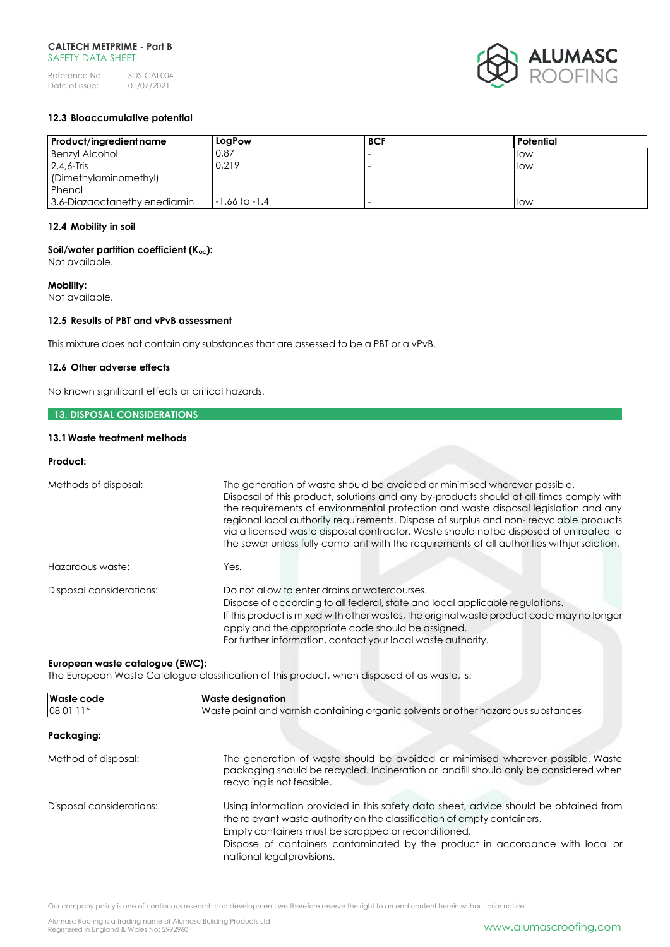Reference No: SDS-CAL004<br>Date of issue: 01/07/2021 Date of issue:



# **12.3 Bioaccumulative potential**

| Product/ingredient name       | LogPow          | <b>BCF</b> | Potential  |
|-------------------------------|-----------------|------------|------------|
| <b>Benzyl Alcohol</b>         | 0,87            |            | <b>low</b> |
| $2.4.6$ -Tris                 | 0.219           |            | low        |
| (Dimethylaminomethyl)         |                 |            |            |
| Phenol                        |                 |            |            |
| 13,6-Diazaoctanethylenediamin | l -1.66 to -1.4 |            | low        |

# **12.4 Mobility in soil**

**Soil/water partition coefficient (Koc):**

Not available.

## **Mobility:**

Not available.

## **12.5 Results of PBT and vPvB assessment**

This mixture does not contain any substances that are assessed to be a PBT or a vPvB.

# **12.6 Other adverse effects**

No known significant effects or critical hazards.

# **13. DISPOSAL CONSIDERATIONS**

# **13.1Waste treatment methods**

# **Product:**

| Methods of disposal:     | The generation of waste should be avoided or minimised wherever possible.<br>Disposal of this product, solutions and any by-products should at all times comply with<br>the requirements of environmental protection and waste disposal legislation and any<br>regional local authority requirements. Dispose of surplus and non-recyclable products<br>via a licensed waste disposal contractor. Waste should notbe disposed of untreated to<br>the sewer unless fully compliant with the requirements of all authorities with jurisdiction. |
|--------------------------|-----------------------------------------------------------------------------------------------------------------------------------------------------------------------------------------------------------------------------------------------------------------------------------------------------------------------------------------------------------------------------------------------------------------------------------------------------------------------------------------------------------------------------------------------|
| Hazardous waste:         | Yes.                                                                                                                                                                                                                                                                                                                                                                                                                                                                                                                                          |
| Disposal considerations: | Do not allow to enter drains or watercourses.<br>Dispose of according to all federal, state and local applicable regulations.<br>If this product is mixed with other wastes, the original waste product code may no longer<br>apply and the appropriate code should be assigned.<br>For further information, contact your local waste authority.                                                                                                                                                                                              |

# **European waste catalogue (EWC):**

The European Waste Catalogue classification of this product, when disposed of as waste, is:

| <b>Waste code</b>        | Waste designation                                                                                                                                                                                                                                                                                                                     |
|--------------------------|---------------------------------------------------------------------------------------------------------------------------------------------------------------------------------------------------------------------------------------------------------------------------------------------------------------------------------------|
| 08 01 11*                | Waste paint and varnish containing organic solvents or other hazardous substances                                                                                                                                                                                                                                                     |
| Packaging:               |                                                                                                                                                                                                                                                                                                                                       |
| Method of disposal:      | The generation of waste should be avoided or minimised wherever possible. Waste<br>packaging should be recycled. Incineration or landfill should only be considered when<br>recycling is not feasible.                                                                                                                                |
| Disposal considerations: | Using information provided in this safety data sheet, advice should be obtained from<br>the relevant waste authority on the classification of empty containers.<br>Empty containers must be scrapped or reconditioned.<br>Dispose of containers contaminated by the product in accordance with local or<br>national legal provisions. |

Our company policy is one of continuous research and development; we therefore reserve the right to amend content herein without prior notice.

Alumasc Roofing is a trading name of Alumasc Building Products Ltd<br>Registered in England & Wales No: 2992960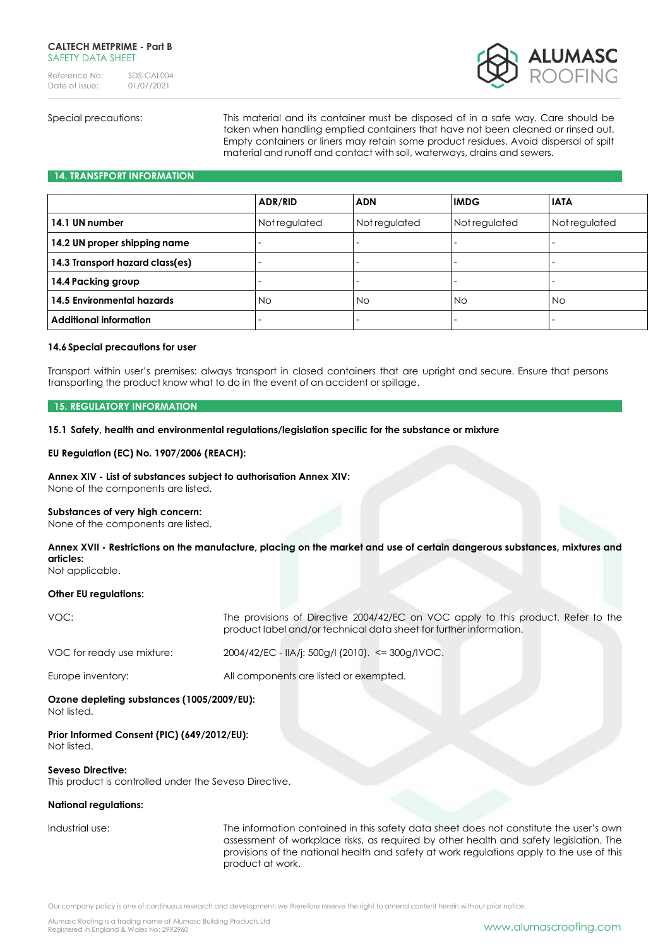Reference No: SDS-CAL004<br>Date of issue: 01/07/2021 Date of issue:



Special precautions: This material and its container must be disposed of in a safe way. Care should be taken when handling emptied containers that have not been cleaned or rinsed out. Empty containers or liners may retain some product residues. Avoid dispersal of spilt material and runoff and contact with soil, waterways, drains and sewers.

#### **14. TRANSFPORT INFORMATION**

|                                 | ADR/RID                  | <b>ADN</b>    | <b>IMDG</b>   | <b>IATA</b>   |
|---------------------------------|--------------------------|---------------|---------------|---------------|
| 14.1 UN number                  | Not regulated            | Not regulated | Not regulated | Not regulated |
| 14.2 UN proper shipping name    | -                        |               |               |               |
| 14.3 Transport hazard class(es) | $\overline{\phantom{a}}$ |               |               |               |
| 14.4 Packing group              | -                        |               |               |               |
| 14.5 Environmental hazards      | <b>No</b>                | <b>No</b>     | <b>No</b>     | <b>No</b>     |
| <b>Additional information</b>   | ٠                        |               |               |               |

# **14.6Special precautions for user**

Transport within user's premises: always transport in closed containers that are upright and secure. Ensure that persons transporting the product know what to do in the event of an accident or spillage.

#### **15. REGULATORY INFORMATION**

**15.1 Safety, health and environmental regulations/legislation specific for the substance or mixture**

#### **EU Regulation (EC) No. 1907/2006 (REACH):**

# **Annex XIV - List of substances subject to authorisation Annex XIV:**

None of the components are listed.

# **Substances of very high concern:**

None of the components are listed.

# **Annex XVII - Restrictions on the manufacture, placing on the market and use of certain dangerous substances, mixtures and articles:**

Not applicable.

#### **Other EU regulations:**

| VOC:                                                      | The provisions of Directive 2004/42/EC on VOC apply to this product. Refer to the<br>product label and/or technical data sheet for further information. |
|-----------------------------------------------------------|---------------------------------------------------------------------------------------------------------------------------------------------------------|
| VOC for ready use mixture:                                | $2004/42$ /EC - IIA/i: 500g/l (2010). <= 300g/IVOC.                                                                                                     |
| Europe inventory:                                         | All components are listed or exempted.                                                                                                                  |
| Ozone depleting substances (1005/2009/EU):<br>Not listed. |                                                                                                                                                         |

#### **Prior Informed Consent (PIC) (649/2012/EU):** Not listed.

## **Seveso Directive:**

This product is controlled under the Seveso Directive.

## **National regulations:**

Industrial use: The information contained in this safety data sheet does not constitute the user's own assessment of workplace risks, as required by other health and safety legislation. The provisions of the national health and safety at work regulations apply to the use of this product at work.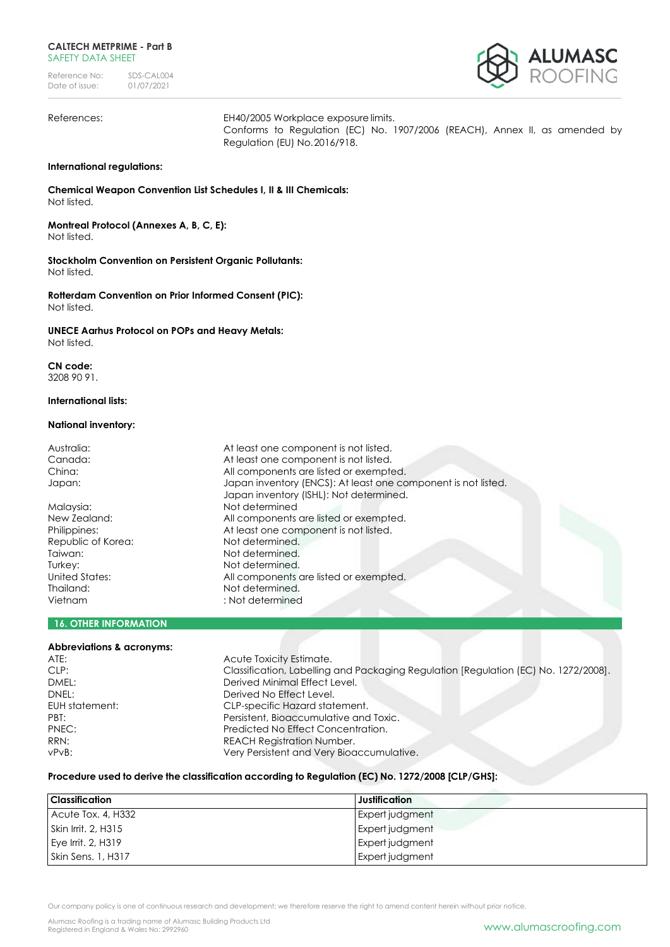Reference No: SDS-CAL004<br>Date of issue: 01/07/2021 Date of issue:



References: EH40/2005 Workplace exposure limits.

Conforms to Regulation (EC) No. 1907/2006 (REACH), Annex II, as amended by Regulation (EU) No.2016/918.

# **International regulations:**

**Chemical Weapon Convention List Schedules I, II & III Chemicals:** Not listed.

**Montreal Protocol (Annexes A, B, C, E):** Not listed.

**Stockholm Convention on Persistent Organic Pollutants:** Not listed.

**Rotterdam Convention on Prior Informed Consent (PIC):** Not listed.

**UNECE Aarhus Protocol on POPs and Heavy Metals:** Not listed.

**CN code:**  3208 90 91.

## **International lists:**

#### **National inventory:**

| Australia:         | At least one component is not listed.                                                                    |
|--------------------|----------------------------------------------------------------------------------------------------------|
| Canada:            | At least one component is not listed.                                                                    |
| China:             | All components are listed or exempted.                                                                   |
| Japan:             | Japan inventory (ENCS): At least one component is not listed.<br>Japan inventory (ISHL): Not determined. |
| Malaysia:          | Not determined                                                                                           |
| New Zealand:       | All components are listed or exempted.                                                                   |
| Philippines:       | At least one component is not listed.                                                                    |
| Republic of Korea: | Not determined.                                                                                          |
| Taiwan:            | Not determined.                                                                                          |
| Turkey:            | Not determined.                                                                                          |
| United States:     | All components are listed or exempted.                                                                   |
| Thailand:          | Not determined.                                                                                          |
| Vietnam            | : Not determined                                                                                         |
|                    |                                                                                                          |

# **16. OTHER INFORMATION**

## **Abbreviations & acronyms:**

| ATE:           | Acute Toxicity Estimate.                                                            |
|----------------|-------------------------------------------------------------------------------------|
| CLP:           | Classification, Labelling and Packaging Regulation [Regulation (EC) No. 1272/2008]. |
| DMEL:          | Derived Minimal Effect Level.                                                       |
| DNEL:          | Derived No Effect Level.                                                            |
| EUH statement: | CLP-specific Hazard statement.                                                      |
| PBT:           | Persistent, Bioaccumulative and Toxic.                                              |
| PNEC:          | Predicted No Effect Concentration.                                                  |
| RRN:           | <b>REACH Registration Number.</b>                                                   |
| vPvB:          | Very Persistent and Very Bioaccumulative.                                           |
|                |                                                                                     |

# **Procedure used to derive the classification according to Regulation (EC) No. 1272/2008 [CLP/GHS]:**

| <b>Classification</b>       | Justification   |
|-----------------------------|-----------------|
| Acute Tox. 4, H332          | Expert judgment |
| $\vert$ Skin Irrit, 2, H315 | Expert judgment |
| $Eve$ Irrit, 2, H319        | Expert judgment |
| Skin Sens. 1, H317          | Expert judgment |

Our company policy is one of continuous research and development; we therefore reserve the right to amend content herein without prior notice.

Alumasc Roofing is a trading name of Alumasc Building Products Ltd<br>Registered in England & Wales No: 2992960